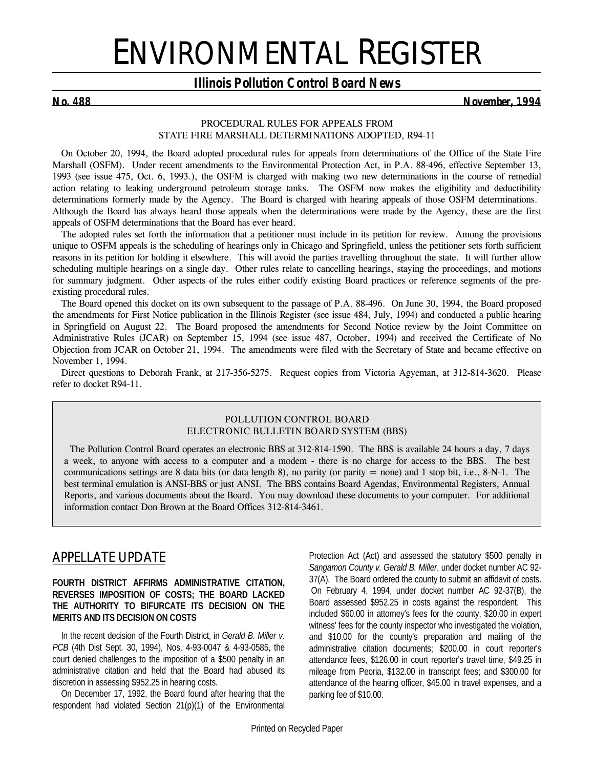# ENVIRONMENTAL REGISTER

#### *Illinois Pollution Control Board News*

*No. 488 November, 1994*

#### *PROCEDURAL RULES FOR APPEALS FROM STATE FIRE MARSHALL DETERMINATIONS ADOPTED, R94-11*

On October 20, 1994, the Board adopted procedural rules for appeals from determinations of the Office of the State Fire Marshall (OSFM). Under recent amendments to the Environmental Protection Act, in P.A. 88-496, effective September 13, 1993 (*see issue 475, Oct. 6, 1993.*), the OSFM is charged with making two new determinations in the course of remedial action relating to leaking underground petroleum storage tanks. The OSFM now makes the eligibility and deductibility determinations formerly made by the Agency. The Board is charged with hearing appeals of those OSFM determinations. Although the Board has always heard those appeals when the determinations were made by the Agency, these are the first appeals of OSFM determinations that the Board has ever heard.

The adopted rules set forth the information that a petitioner must include in its petition for review. Among the provisions unique to OSFM appeals is the scheduling of hearings only in Chicago and Springfield, unless the petitioner sets forth sufficient reasons in its petition for holding it elsewhere. This will avoid the parties travelling throughout the state. It will further allow scheduling multiple hearings on a single day. Other rules relate to cancelling hearings, staying the proceedings, and motions for summary judgment. Other aspects of the rules either codify existing Board practices or reference segments of the preexisting procedural rules.

The Board opened this docket on its own subsequent to the passage of P.A. 88-496. On June 30, 1994, the Board proposed the amendments for First Notice publication in the *Illinois Register (see issue 484, July, 1994)* and conducted a public hearing in Springfield on August 22. The Board proposed the amendments for Second Notice review by the Joint Committee on Administrative Rules (JCAR) on September 15, 1994 *(see issue 487, October, 1994)* and received the Certificate of No Objection from JCAR on October 21, 1994. The amendments were filed with the Secretary of State and became effective on November 1, 1994.

Direct questions to Deborah Frank, at 217-356-5275. Request copies from Victoria Agyeman, at 312-814-3620. Please refer to docket R94-11.

#### **POLLUTION CONTROL BOARD ELECTRONIC BULLETIN BOARD SYSTEM (BBS)**

 The Pollution Control Board operates an electronic BBS at 312-814-1590. The BBS is available 24 hours a day, 7 days a week, to anyone with access to a computer and a modem - there is no charge for access to the BBS. The best communications settings are 8 data bits (or data length 8), no parity (or parity = none) and 1 stop bit, i.e.,  $8-N-1$ . The best terminal emulation is ANSI-BBS or just ANSI. The BBS contains Board Agendas, Environmental Registers, Annual Reports, and various documents about the Board. You may download these documents to your computer. For additional information contact Don Brown at the Board Offices 312-814-3461.

## *APPELLATE UPDATE*

#### **FOURTH DISTRICT AFFIRMS ADMINISTRATIVE CITATION, REVERSES IMPOSITION OF COSTS; THE BOARD LACKED THE AUTHORITY TO BIFURCATE ITS DECISION ON THE MERITS AND ITS DECISION ON COSTS**

In the recent decision of the Fourth District, in *Gerald B. Miller v. PCB* (4th Dist Sept. 30, 1994), Nos. 4-93-0047 & 4-93-0585, the court denied challenges to the imposition of a \$500 penalty in an administrative citation and held that the Board had abused its discretion in assessing \$952.25 in hearing costs.

On December 17, 1992, the Board found after hearing that the respondent had violated Section 21(p)(1) of the Environmental

Protection Act (Act) and assessed the statutory \$500 penalty in *Sangamon County v. Gerald B. Miller*, under docket number AC 92- 37(A). The Board ordered the county to submit an affidavit of costs. On February 4, 1994, under docket number AC 92-37(B), the Board assessed \$952.25 in costs against the respondent. This included \$60.00 in attorney's fees for the county, \$20.00 in expert witness' fees for the county inspector who investigated the violation, and \$10.00 for the county's preparation and mailing of the administrative citation documents; \$200.00 in court reporter's attendance fees, \$126.00 in court reporter's travel time, \$49.25 in mileage from Peoria, \$132.00 in transcript fees; and \$300.00 for attendance of the hearing officer, \$45.00 in travel expenses, and a parking fee of \$10.00.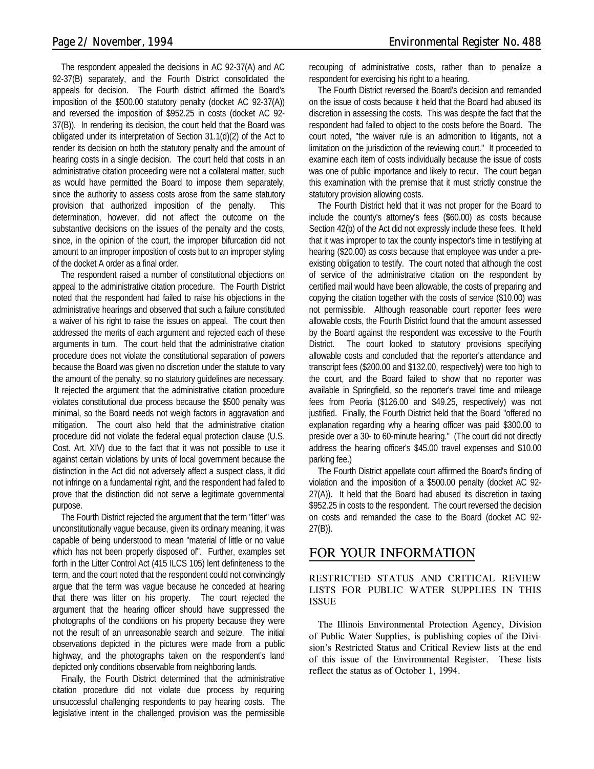The respondent appealed the decisions in AC 92-37(A) and AC 92-37(B) separately, and the Fourth District consolidated the appeals for decision. The Fourth district affirmed the Board's imposition of the \$500.00 statutory penalty (docket AC 92-37(A)) and reversed the imposition of \$952.25 in costs (docket AC 92- 37(B)). In rendering its decision, the court held that the Board was obligated under its interpretation of Section 31.1(d)(2) of the Act to render its decision on both the statutory penalty and the amount of hearing costs in a single decision. The court held that costs in an administrative citation proceeding were not a collateral matter, such as would have permitted the Board to impose them separately, since the authority to assess costs arose from the same statutory provision that authorized imposition of the penalty. This determination, however, did not affect the outcome on the substantive decisions on the issues of the penalty and the costs, since, in the opinion of the court, the improper bifurcation did not amount to an improper imposition of costs but to an improper styling of the docket A order as a final order.

The respondent raised a number of constitutional objections on appeal to the administrative citation procedure. The Fourth District noted that the respondent had failed to raise his objections in the administrative hearings and observed that such a failure constituted a waiver of his right to raise the issues on appeal. The court then addressed the merits of each argument and rejected each of these arguments in turn. The court held that the administrative citation procedure does not violate the constitutional separation of powers because the Board was given no discretion under the statute to vary the amount of the penalty, so no statutory guidelines are necessary. It rejected the argument that the administrative citation procedure violates constitutional due process because the \$500 penalty was minimal, so the Board needs not weigh factors in aggravation and mitigation. The court also held that the administrative citation procedure did not violate the federal equal protection clause (U.S. Cost. Art. XIV) due to the fact that it was not possible to use it against certain violations by units of local government because the distinction in the Act did not adversely affect a suspect class, it did not infringe on a fundamental right, and the respondent had failed to prove that the distinction did not serve a legitimate governmental purpose.

The Fourth District rejected the argument that the term "litter" was unconstitutionally vague because, given its ordinary meaning, it was capable of being understood to mean "material of little or no value which has not been properly disposed of". Further, examples set forth in the Litter Control Act (415 ILCS 105) lent definiteness to the term, and the court noted that the respondent could not convincingly argue that the term was vague because he conceded at hearing that there was litter on his property. The court rejected the argument that the hearing officer should have suppressed the photographs of the conditions on his property because they were not the result of an unreasonable search and seizure. The initial observations depicted in the pictures were made from a public highway, and the photographs taken on the respondent's land depicted only conditions observable from neighboring lands.

Finally, the Fourth District determined that the administrative citation procedure did not violate due process by requiring unsuccessful challenging respondents to pay hearing costs. The legislative intent in the challenged provision was the permissible

recouping of administrative costs, rather than to penalize a respondent for exercising his right to a hearing.

The Fourth District reversed the Board's decision and remanded on the issue of costs because it held that the Board had abused its discretion in assessing the costs. This was despite the fact that the respondent had failed to object to the costs before the Board. The court noted, "the waiver rule is an admonition to litigants, not a limitation on the jurisdiction of the reviewing court." It proceeded to examine each item of costs individually because the issue of costs was one of public importance and likely to recur. The court began this examination with the premise that it must strictly construe the statutory provision allowing costs.

The Fourth District held that it was not proper for the Board to include the county's attorney's fees (\$60.00) as costs because Section 42(b) of the Act did not expressly include these fees. It held that it was improper to tax the county inspector's time in testifying at hearing (\$20.00) as costs because that employee was under a preexisting obligation to testify. The court noted that although the cost of service of the administrative citation on the respondent by certified mail would have been allowable, the costs of preparing and copying the citation together with the costs of service (\$10.00) was not permissible. Although reasonable court reporter fees were allowable costs, the Fourth District found that the amount assessed by the Board against the respondent was excessive to the Fourth District. The court looked to statutory provisions specifying allowable costs and concluded that the reporter's attendance and transcript fees (\$200.00 and \$132.00, respectively) were too high to the court, and the Board failed to show that no reporter was available in Springfield, so the reporter's travel time and mileage fees from Peoria (\$126.00 and \$49.25, respectively) was not justified. Finally, the Fourth District held that the Board "offered no explanation regarding why a hearing officer was paid \$300.00 to preside over a 30- to 60-minute hearing." (The court did not directly address the hearing officer's \$45.00 travel expenses and \$10.00 parking fee.)

The Fourth District appellate court affirmed the Board's finding of violation and the imposition of a \$500.00 penalty (docket AC 92- 27(A)). It held that the Board had abused its discretion in taxing \$952.25 in costs to the respondent. The court reversed the decision on costs and remanded the case to the Board (docket AC 92- 27(B)).

#### *FOR YOUR INFORMATION*

#### **RESTRICTED STATUS AND CRITICAL REVIEW LISTS FOR PUBLIC WATER SUPPLIES IN THIS ISSUE**

The Illinois Environmental Protection Agency, Division of Public Water Supplies, is publishing copies of the Division's Restricted Status and Critical Review lists at the end of this issue of the Environmental Register. These lists reflect the status as of October 1, 1994.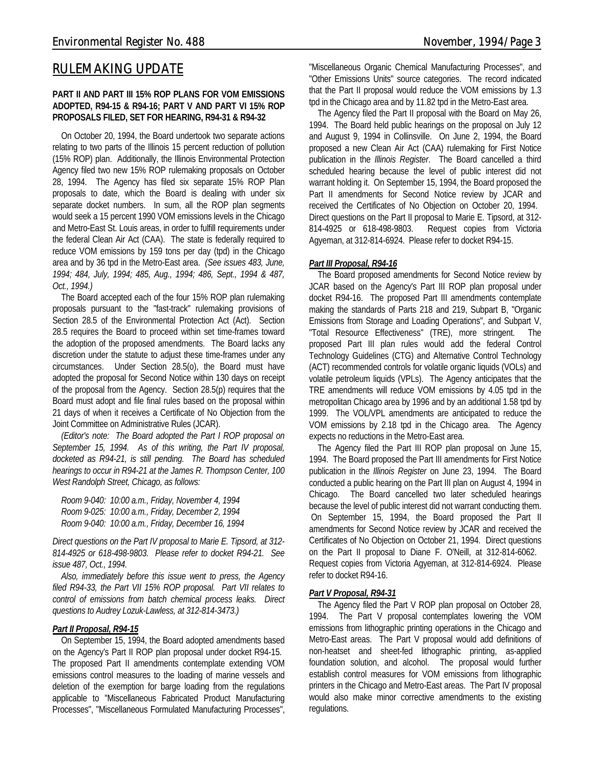# *RULEMAKING UPDATE*

#### **PART II AND PART III 15% ROP PLANS FOR VOM EMISSIONS ADOPTED, R94-15 & R94-16; PART V AND PART VI 15% ROP PROPOSALS FILED, SET FOR HEARING, R94-31 & R94-32**

On October 20, 1994, the Board undertook two separate actions relating to two parts of the Illinois 15 percent reduction of pollution (15% ROP) plan. Additionally, the Illinois Environmental Protection Agency filed two new 15% ROP rulemaking proposals on October 28, 1994. The Agency has filed six separate 15% ROP Plan proposals to date, which the Board is dealing with under six separate docket numbers. In sum, all the ROP plan segments would seek a 15 percent 1990 VOM emissions levels in the Chicago and Metro-East St. Louis areas, in order to fulfill requirements under the federal Clean Air Act (CAA). The state is federally required to reduce VOM emissions by 159 tons per day (tpd) in the Chicago area and by 36 tpd in the Metro-East area. *(See issues 483, June, 1994; 484, July, 1994; 485, Aug., 1994; 486, Sept., 1994 & 487, Oct., 1994.)*

The Board accepted each of the four 15% ROP plan rulemaking proposals pursuant to the "fast-track" rulemaking provisions of Section 28.5 of the Environmental Protection Act (Act). Section 28.5 requires the Board to proceed within set time-frames toward the adoption of the proposed amendments. The Board lacks any discretion under the statute to adjust these time-frames under any circumstances. Under Section 28.5(o), the Board must have adopted the proposal for Second Notice within 130 days on receipt of the proposal from the Agency. Section 28.5(p) requires that the Board must adopt and file final rules based on the proposal within 21 days of when it receives a Certificate of No Objection from the Joint Committee on Administrative Rules (JCAR).

*(Editor's note: The Board adopted the Part I ROP proposal on September 15, 1994. As of this writing, the Part IV proposal, docketed as R94-21, is still pending. The Board has scheduled hearings to occur in R94-21 at the James R. Thompson Center, 100 West Randolph Street, Chicago, as follows:*

*Room 9-040: 10:00 a.m., Friday, November 4, 1994 Room 9-025: 10:00 a.m., Friday, December 2, 1994 Room 9-040: 10:00 a.m., Friday, December 16, 1994*

*Direct questions on the Part IV proposal to Marie E. Tipsord, at 312- 814-4925 or 618-498-9803. Please refer to docket R94-21. See issue 487, Oct., 1994.*

*Also, immediately before this issue went to press, the Agency filed R94-33, the Part VII 15% ROP proposal. Part VII relates to control of emissions from batch chemical process leaks. Direct questions to Audrey Lozuk-Lawless, at 312-814-3473.)*

#### *Part II Proposal, R94-15*

On September 15, 1994, the Board adopted amendments based on the Agency's Part II ROP plan proposal under docket R94-15. The proposed Part II amendments contemplate extending VOM emissions control measures to the loading of marine vessels and deletion of the exemption for barge loading from the regulations applicable to "Miscellaneous Fabricated Product Manufacturing Processes", "Miscellaneous Formulated Manufacturing Processes",

"Miscellaneous Organic Chemical Manufacturing Processes", and "Other Emissions Units" source categories. The record indicated that the Part II proposal would reduce the VOM emissions by 1.3 tpd in the Chicago area and by 11.82 tpd in the Metro-East area.

The Agency filed the Part II proposal with the Board on May 26, 1994. The Board held public hearings on the proposal on July 12 and August 9, 1994 in Collinsville. On June 2, 1994, the Board proposed a new Clean Air Act (CAA) rulemaking for First Notice publication in the *Illinois Register*. The Board cancelled a third scheduled hearing because the level of public interest did not warrant holding it. On September 15, 1994, the Board proposed the Part II amendments for Second Notice review by JCAR and received the Certificates of No Objection on October 20, 1994. Direct questions on the Part II proposal to Marie E. Tipsord, at 312- 814-4925 or 618-498-9803. Request copies from Victoria Agyeman, at 312-814-6924. Please refer to docket R94-15.

#### *Part III Proposal, R94-16*

The Board proposed amendments for Second Notice review by JCAR based on the Agency's Part III ROP plan proposal under docket R94-16. The proposed Part III amendments contemplate making the standards of Parts 218 and 219, Subpart B, "Organic Emissions from Storage and Loading Operations", and Subpart V, "Total Resource Effectiveness" (TRE), more stringent. The proposed Part III plan rules would add the federal Control Technology Guidelines (CTG) and Alternative Control Technology (ACT) recommended controls for volatile organic liquids (VOLs) and volatile petroleum liquids (VPLs). The Agency anticipates that the TRE amendments will reduce VOM emissions by 4.05 tpd in the metropolitan Chicago area by 1996 and by an additional 1.58 tpd by 1999. The VOL/VPL amendments are anticipated to reduce the VOM emissions by 2.18 tpd in the Chicago area. The Agency expects no reductions in the Metro-East area.

The Agency filed the Part III ROP plan proposal on June 15, 1994. The Board proposed the Part III amendments for First Notice publication in the *Illinois Register* on June 23, 1994. The Board conducted a public hearing on the Part III plan on August 4, 1994 in Chicago. The Board cancelled two later scheduled hearings because the level of public interest did not warrant conducting them. On September 15, 1994, the Board proposed the Part II amendments for Second Notice review by JCAR and received the Certificates of No Objection on October 21, 1994. Direct questions on the Part II proposal to Diane F. O'Neill, at 312-814-6062. Request copies from Victoria Agyeman, at 312-814-6924. Please refer to docket R94-16.

#### *Part V Proposal, R94-31*

The Agency filed the Part V ROP plan proposal on October 28, 1994. The Part V proposal contemplates lowering the VOM emissions from lithographic printing operations in the Chicago and Metro-East areas. The Part V proposal would add definitions of non-heatset and sheet-fed lithographic printing, as-applied foundation solution, and alcohol. The proposal would further establish control measures for VOM emissions from lithographic printers in the Chicago and Metro-East areas. The Part IV proposal would also make minor corrective amendments to the existing regulations.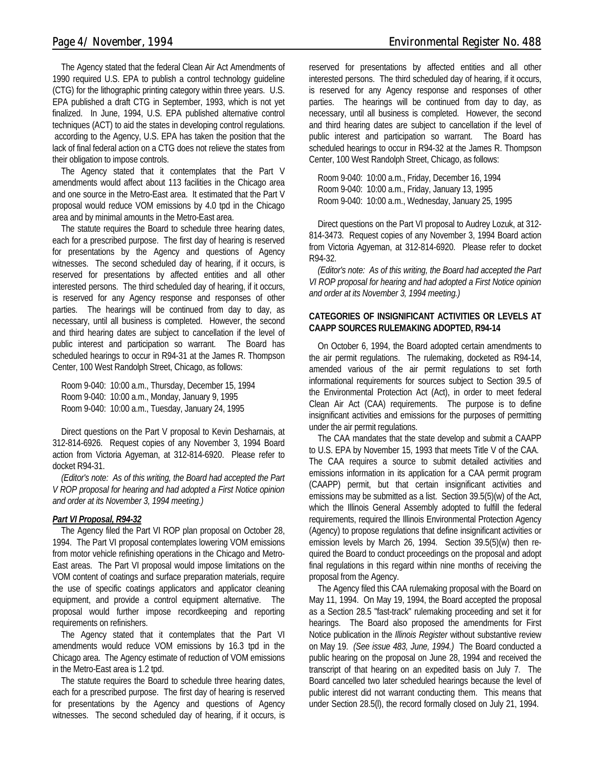The Agency stated that the federal Clean Air Act Amendments of 1990 required U.S. EPA to publish a control technology guideline (CTG) for the lithographic printing category within three years. U.S. EPA published a draft CTG in September, 1993, which is not yet finalized. In June, 1994, U.S. EPA published alternative control techniques (ACT) to aid the states in developing control regulations. according to the Agency, U.S. EPA has taken the position that the lack of final federal action on a CTG does not relieve the states from their obligation to impose controls.

The Agency stated that it contemplates that the Part V amendments would affect about 113 facilities in the Chicago area and one source in the Metro-East area. It estimated that the Part V proposal would reduce VOM emissions by 4.0 tpd in the Chicago area and by minimal amounts in the Metro-East area.

The statute requires the Board to schedule three hearing dates, each for a prescribed purpose. The first day of hearing is reserved for presentations by the Agency and questions of Agency witnesses. The second scheduled day of hearing, if it occurs, is reserved for presentations by affected entities and all other interested persons. The third scheduled day of hearing, if it occurs, is reserved for any Agency response and responses of other parties. The hearings will be continued from day to day, as necessary, until all business is completed. However, the second and third hearing dates are subject to cancellation if the level of public interest and participation so warrant. The Board has scheduled hearings to occur in R94-31 at the James R. Thompson Center, 100 West Randolph Street, Chicago, as follows:

| Room 9-040: 10:00 a.m., Thursday, December 15, 1994 |
|-----------------------------------------------------|
| Room 9-040: 10:00 a.m., Monday, January 9, 1995     |
| Room 9-040: 10:00 a.m., Tuesday, January 24, 1995   |

Direct questions on the Part V proposal to Kevin Desharnais, at 312-814-6926. Request copies of any November 3, 1994 Board action from Victoria Agyeman, at 312-814-6920. Please refer to docket R94-31.

*(Editor's note: As of this writing, the Board had accepted the Part V ROP proposal for hearing and had adopted a First Notice opinion and order at its November 3, 1994 meeting.)*

#### *Part VI Proposal, R94-32*

The Agency filed the Part VI ROP plan proposal on October 28, 1994. The Part VI proposal contemplates lowering VOM emissions from motor vehicle refinishing operations in the Chicago and Metro-East areas. The Part VI proposal would impose limitations on the VOM content of coatings and surface preparation materials, require the use of specific coatings applicators and applicator cleaning equipment, and provide a control equipment alternative. The proposal would further impose recordkeeping and reporting requirements on refinishers.

The Agency stated that it contemplates that the Part VI amendments would reduce VOM emissions by 16.3 tpd in the Chicago area. The Agency estimate of reduction of VOM emissions in the Metro-East area is 1.2 tpd.

The statute requires the Board to schedule three hearing dates, each for a prescribed purpose. The first day of hearing is reserved for presentations by the Agency and questions of Agency witnesses. The second scheduled day of hearing, if it occurs, is reserved for presentations by affected entities and all other interested persons. The third scheduled day of hearing, if it occurs, is reserved for any Agency response and responses of other parties. The hearings will be continued from day to day, as necessary, until all business is completed. However, the second and third hearing dates are subject to cancellation if the level of public interest and participation so warrant. The Board has scheduled hearings to occur in R94-32 at the James R. Thompson Center, 100 West Randolph Street, Chicago, as follows:

Room 9-040: 10:00 a.m., Friday, December 16, 1994 Room 9-040: 10:00 a.m., Friday, January 13, 1995 Room 9-040: 10:00 a.m., Wednesday, January 25, 1995

Direct questions on the Part VI proposal to Audrey Lozuk, at 312- 814-3473. Request copies of any November 3, 1994 Board action from Victoria Agyeman, at 312-814-6920. Please refer to docket R94-32.

*(Editor's note: As of this writing, the Board had accepted the Part VI ROP proposal for hearing and had adopted a First Notice opinion and order at its November 3, 1994 meeting.)*

#### **CATEGORIES OF INSIGNIFICANT ACTIVITIES OR LEVELS AT CAAPP SOURCES RULEMAKING ADOPTED, R94-14**

On October 6, 1994, the Board adopted certain amendments to the air permit regulations. The rulemaking, docketed as R94-14, amended various of the air permit regulations to set forth informational requirements for sources subject to Section 39.5 of the Environmental Protection Act (Act), in order to meet federal Clean Air Act (CAA) requirements. The purpose is to define insignificant activities and emissions for the purposes of permitting under the air permit regulations.

The CAA mandates that the state develop and submit a CAAPP to U.S. EPA by November 15, 1993 that meets Title V of the CAA. The CAA requires a source to submit detailed activities and emissions information in its application for a CAA permit program (CAAPP) permit, but that certain insignificant activities and emissions may be submitted as a list. Section 39.5(5)(w) of the Act, which the Illinois General Assembly adopted to fulfill the federal requirements, required the Illinois Environmental Protection Agency (Agency) to propose regulations that define insignificant activities or emission levels by March 26, 1994. Section 39.5(5)(w) then required the Board to conduct proceedings on the proposal and adopt final regulations in this regard within nine months of receiving the proposal from the Agency.

The Agency filed this CAA rulemaking proposal with the Board on May 11, 1994. On May 19, 1994, the Board accepted the proposal as a Section 28.5 "fast-track" rulemaking proceeding and set it for hearings. The Board also proposed the amendments for First Notice publication in the *Illinois Register* without substantive review on May 19. *(See issue 483, June, 1994.)* The Board conducted a public hearing on the proposal on June 28, 1994 and received the transcript of that hearing on an expedited basis on July 7. The Board cancelled two later scheduled hearings because the level of public interest did not warrant conducting them. This means that under Section 28.5(l), the record formally closed on July 21, 1994.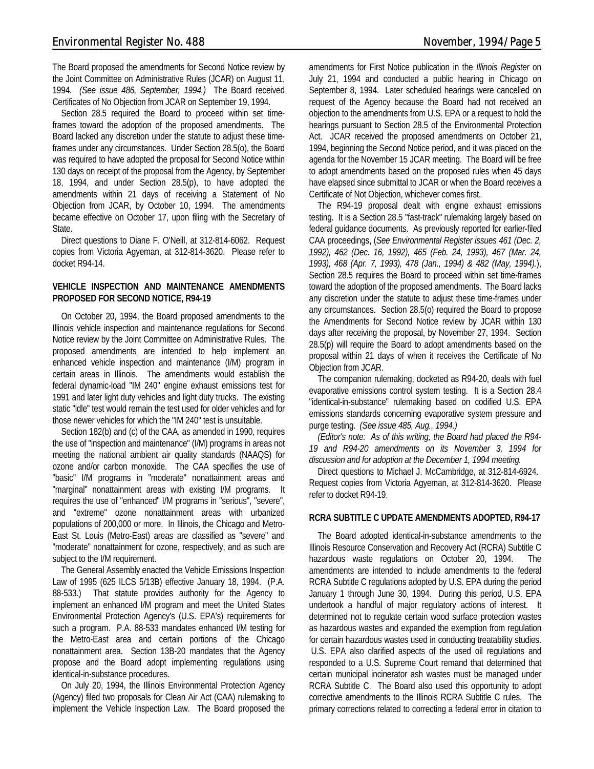The Board proposed the amendments for Second Notice review by the Joint Committee on Administrative Rules (JCAR) on August 11, 1994. *(See issue 486, September, 1994.)* The Board received Certificates of No Objection from JCAR on September 19, 1994.

Section 28.5 required the Board to proceed within set timeframes toward the adoption of the proposed amendments. The Board lacked any discretion under the statute to adjust these timeframes under any circumstances. Under Section 28.5(o), the Board was required to have adopted the proposal for Second Notice within 130 days on receipt of the proposal from the Agency, by September 18, 1994, and under Section 28.5(p), to have adopted the amendments within 21 days of receiving a Statement of No Objection from JCAR, by October 10, 1994. The amendments became effective on October 17, upon filing with the Secretary of State.

Direct questions to Diane F. O'Neill, at 312-814-6062. Request copies from Victoria Agyeman, at 312-814-3620. Please refer to docket R94-14.

#### **VEHICLE INSPECTION AND MAINTENANCE AMENDMENTS PROPOSED FOR SECOND NOTICE, R94-19**

On October 20, 1994, the Board proposed amendments to the Illinois vehicle inspection and maintenance regulations for Second Notice review by the Joint Committee on Administrative Rules. The proposed amendments are intended to help implement an enhanced vehicle inspection and maintenance (I/M) program in certain areas in Illinois. The amendments would establish the federal dynamic-load "IM 240" engine exhaust emissions test for 1991 and later light duty vehicles and light duty trucks. The existing static "idle" test would remain the test used for older vehicles and for those newer vehicles for which the "IM 240" test is unsuitable.

Section 182(b) and (c) of the CAA, as amended in 1990, requires the use of "inspection and maintenance" (I/M) programs in areas not meeting the national ambient air quality standards (NAAQS) for ozone and/or carbon monoxide. The CAA specifies the use of "basic" I/M programs in "moderate" nonattainment areas and "marginal" nonattainment areas with existing I/M programs. It requires the use of "enhanced" I/M programs in "serious", "severe", and "extreme" ozone nonattainment areas with urbanized populations of 200,000 or more. In Illinois, the Chicago and Metro-East St. Louis (Metro-East) areas are classified as "severe" and "moderate" nonattainment for ozone, respectively, and as such are subject to the I/M requirement.

The General Assembly enacted the Vehicle Emissions Inspection Law of 1995 (625 ILCS 5/13B) effective January 18, 1994. (P.A. 88-533.) That statute provides authority for the Agency to implement an enhanced I/M program and meet the United States Environmental Protection Agency's (U.S. EPA's) requirements for such a program. P.A. 88-533 mandates enhanced I/M testing for the Metro-East area and certain portions of the Chicago nonattainment area. Section 13B-20 mandates that the Agency propose and the Board adopt implementing regulations using identical-in-substance procedures.

On July 20, 1994, the Illinois Environmental Protection Agency (Agency) filed two proposals for Clean Air Act (CAA) rulemaking to implement the Vehicle Inspection Law. The Board proposed the amendments for First Notice publication in the *Illinois Register* on July 21, 1994 and conducted a public hearing in Chicago on September 8, 1994. Later scheduled hearings were cancelled on request of the Agency because the Board had not received an objection to the amendments from U.S. EPA or a request to hold the hearings pursuant to Section 28.5 of the Environmental Protection Act. JCAR received the proposed amendments on October 21, 1994, beginning the Second Notice period, and it was placed on the agenda for the November 15 JCAR meeting. The Board will be free to adopt amendments based on the proposed rules when 45 days have elapsed since submittal to JCAR or when the Board receives a Certificate of Not Objection, whichever comes first.

The R94-19 proposal dealt with engine exhaust emissions testing. It is a Section 28.5 "fast-track" rulemaking largely based on federal guidance documents. As previously reported for earlier-filed CAA proceedings, (*See Environmental Register issues 461 (Dec. 2, 1992), 462 (Dec. 16, 1992), 465 (Feb. 24, 1993), 467 (Mar. 24, 1993), 468 (Apr. 7, 1993), 478 (Jan., 1994) & 482 (May, 1994).*), Section 28.5 requires the Board to proceed within set time-frames toward the adoption of the proposed amendments. The Board lacks any discretion under the statute to adjust these time-frames under any circumstances. Section 28.5(o) required the Board to propose the Amendments for Second Notice review by JCAR within 130 days after receiving the proposal, by November 27, 1994. Section 28.5(p) will require the Board to adopt amendments based on the proposal within 21 days of when it receives the Certificate of No Objection from JCAR.

The companion rulemaking, docketed as R94-20, deals with fuel evaporative emissions control system testing. It is a Section 28.4 "identical-in-substance" rulemaking based on codified U.S. EPA emissions standards concerning evaporative system pressure and purge testing. *(See issue 485, Aug., 1994.)*

*(Editor's note: As of this writing, the Board had placed the R94- 19 and R94-20 amendments on its November 3, 1994 for discussion and for adoption at the December 1, 1994 meeting.*

Direct questions to Michael J. McCambridge, at 312-814-6924. Request copies from Victoria Agyeman, at 312-814-3620. Please refer to docket R94-19.

#### **RCRA SUBTITLE C UPDATE AMENDMENTS ADOPTED, R94-17**

The Board adopted identical-in-substance amendments to the Illinois Resource Conservation and Recovery Act (RCRA) Subtitle C hazardous waste regulations on October 20, 1994. The amendments are intended to include amendments to the federal RCRA Subtitle C regulations adopted by U.S. EPA during the period January 1 through June 30, 1994. During this period, U.S. EPA undertook a handful of major regulatory actions of interest. It determined not to regulate certain wood surface protection wastes as hazardous wastes and expanded the exemption from regulation for certain hazardous wastes used in conducting treatability studies. U.S. EPA also clarified aspects of the used oil regulations and responded to a U.S. Supreme Court remand that determined that certain municipal incinerator ash wastes must be managed under RCRA Subtitle C. The Board also used this opportunity to adopt corrective amendments to the Illinois RCRA Subtitle C rules. The primary corrections related to correcting a federal error in citation to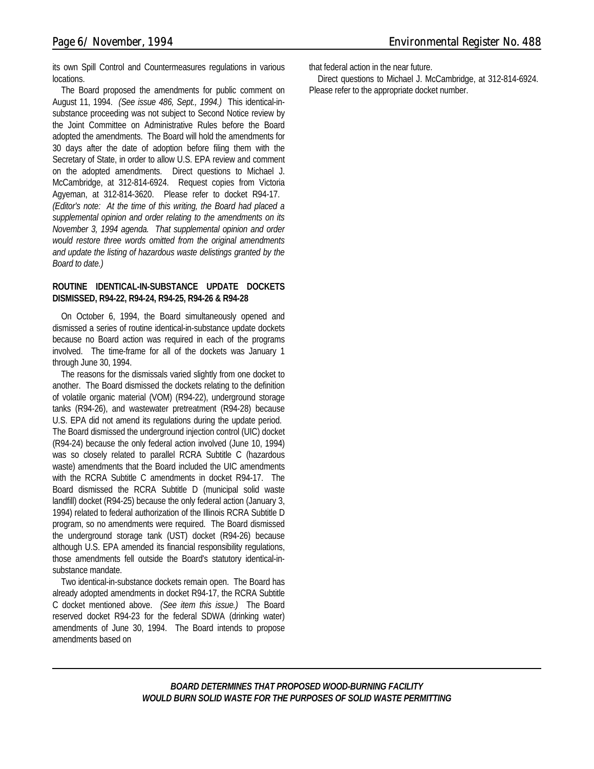its own Spill Control and Countermeasures regulations in various locations.

The Board proposed the amendments for public comment on August 11, 1994. *(See issue 486, Sept., 1994.)* This identical-insubstance proceeding was not subject to Second Notice review by the Joint Committee on Administrative Rules before the Board adopted the amendments. The Board will hold the amendments for 30 days after the date of adoption before filing them with the Secretary of State, in order to allow U.S. EPA review and comment on the adopted amendments. Direct questions to Michael J. McCambridge, at 312-814-6924. Request copies from Victoria Agyeman, at 312-814-3620. Please refer to docket R94-17. *(Editor's note: At the time of this writing, the Board had placed a supplemental opinion and order relating to the amendments on its November 3, 1994 agenda. That supplemental opinion and order would restore three words omitted from the original amendments and update the listing of hazardous waste delistings granted by the Board to date.)*

#### **ROUTINE IDENTICAL-IN-SUBSTANCE UPDATE DOCKETS DISMISSED, R94-22, R94-24, R94-25, R94-26 & R94-28**

On October 6, 1994, the Board simultaneously opened and dismissed a series of routine identical-in-substance update dockets because no Board action was required in each of the programs involved. The time-frame for all of the dockets was January 1 through June 30, 1994.

The reasons for the dismissals varied slightly from one docket to another. The Board dismissed the dockets relating to the definition of volatile organic material (VOM) (R94-22), underground storage tanks (R94-26), and wastewater pretreatment (R94-28) because U.S. EPA did not amend its regulations during the update period. The Board dismissed the underground injection control (UIC) docket (R94-24) because the only federal action involved (June 10, 1994) was so closely related to parallel RCRA Subtitle C (hazardous waste) amendments that the Board included the UIC amendments with the RCRA Subtitle C amendments in docket R94-17. The Board dismissed the RCRA Subtitle D (municipal solid waste landfill) docket (R94-25) because the only federal action (January 3, 1994) related to federal authorization of the Illinois RCRA Subtitle D program, so no amendments were required. The Board dismissed the underground storage tank (UST) docket (R94-26) because although U.S. EPA amended its financial responsibility regulations, those amendments fell outside the Board's statutory identical-insubstance mandate.

Two identical-in-substance dockets remain open. The Board has already adopted amendments in docket R94-17, the RCRA Subtitle C docket mentioned above. *(See item this issue.)* The Board reserved docket R94-23 for the federal SDWA (drinking water) amendments of June 30, 1994. The Board intends to propose amendments based on

> *BOARD DETERMINES THAT PROPOSED WOOD-BURNING FACILITY WOULD BURN SOLID WASTE FOR THE PURPOSES OF SOLID WASTE PERMITTING*

that federal action in the near future.

Direct questions to Michael J. McCambridge, at 312-814-6924. Please refer to the appropriate docket number.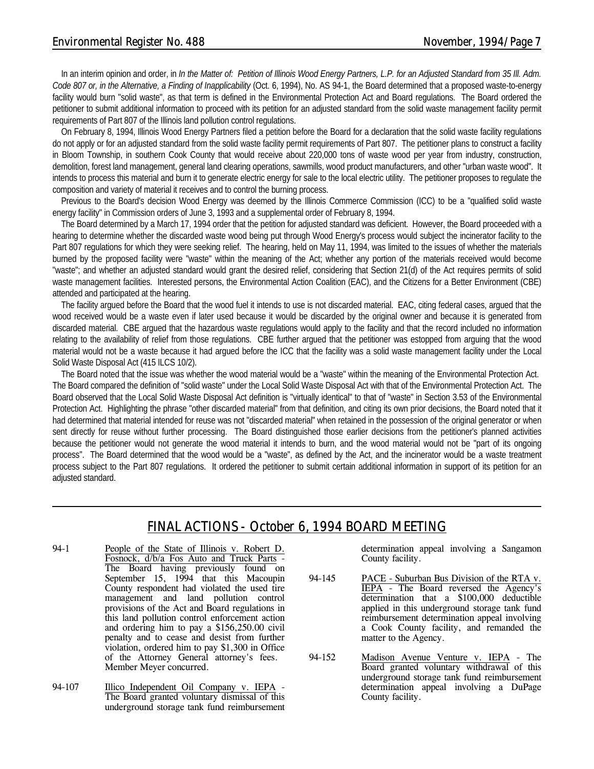#### *Environmental Register No. 488 November, 1994/Page 7*

In an interim opinion and order, in *In the Matter of: Petition of Illinois Wood Energy Partners, L.P. for an Adjusted Standard from 35 Ill. Adm. Code 807 or, in the Alternative, a Finding of Inapplicability* (Oct. 6, 1994), No. AS 94-1, the Board determined that a proposed waste-to-energy facility would burn "solid waste", as that term is defined in the Environmental Protection Act and Board regulations. The Board ordered the petitioner to submit additional information to proceed with its petition for an adjusted standard from the solid waste management facility permit requirements of Part 807 of the Illinois land pollution control regulations.

On February 8, 1994, Illinois Wood Energy Partners filed a petition before the Board for a declaration that the solid waste facility regulations do not apply or for an adjusted standard from the solid waste facility permit requirements of Part 807. The petitioner plans to construct a facility in Bloom Township, in southern Cook County that would receive about 220,000 tons of waste wood per year from industry, construction, demolition, forest land management, general land clearing operations, sawmills, wood product manufacturers, and other "urban waste wood". It intends to process this material and burn it to generate electric energy for sale to the local electric utility. The petitioner proposes to regulate the composition and variety of material it receives and to control the burning process.

Previous to the Board's decision Wood Energy was deemed by the Illinois Commerce Commission (ICC) to be a "qualified solid waste energy facility" in Commission orders of June 3, 1993 and a supplemental order of February 8, 1994.

The Board determined by a March 17, 1994 order that the petition for adjusted standard was deficient. However, the Board proceeded with a hearing to determine whether the discarded waste wood being put through Wood Energy's process would subject the incinerator facility to the Part 807 regulations for which they were seeking relief. The hearing, held on May 11, 1994, was limited to the issues of whether the materials burned by the proposed facility were "waste" within the meaning of the Act; whether any portion of the materials received would become "waste"; and whether an adjusted standard would grant the desired relief, considering that Section 21(d) of the Act requires permits of solid waste management facilities. Interested persons, the Environmental Action Coalition (EAC), and the Citizens for a Better Environment (CBE) attended and participated at the hearing.

The facility argued before the Board that the wood fuel it intends to use is not discarded material. EAC, citing federal cases, argued that the wood received would be a waste even if later used because it would be discarded by the original owner and because it is generated from discarded material. CBE argued that the hazardous waste regulations would apply to the facility and that the record included no information relating to the availability of relief from those regulations. CBE further argued that the petitioner was estopped from arguing that the wood material would not be a waste because it had argued before the ICC that the facility was a solid waste management facility under the Local Solid Waste Disposal Act (415 ILCS 10/2).

The Board noted that the issue was whether the wood material would be a "waste" within the meaning of the Environmental Protection Act. The Board compared the definition of "solid waste" under the Local Solid Waste Disposal Act with that of the Environmental Protection Act. The Board observed that the Local Solid Waste Disposal Act definition is "virtually identical" to that of "waste" in Section 3.53 of the Environmental Protection Act. Highlighting the phrase "other discarded material" from that definition, and citing its own prior decisions, the Board noted that it had determined that material intended for reuse was not "discarded material" when retained in the possession of the original generator or when sent directly for reuse without further processing. The Board distinguished those earlier decisions from the petitioner's planned activities because the petitioner would not generate the wood material it intends to burn, and the wood material would not be "part of its ongoing process". The Board determined that the wood would be a "waste", as defined by the Act, and the incinerator would be a waste treatment process subject to the Part 807 regulations. It ordered the petitioner to submit certain additional information in support of its petition for an adjusted standard.

#### *FINAL ACTIONS - October 6, 1994 BOARD MEETING*

- 94-1 People of the State of Illinois v. Robert D. Fosnock, d/b/a Fos Auto and Truck Parts - The Board having previously found on September 15, 1994 that this Macoupin County respondent had violated the used tire management and land pollution control provisions of the Act and Board regulations in this land pollution control enforcement action and ordering him to pay a \$156,250.00 civil penalty and to cease and desist from further violation, ordered him to pay \$1,300 in Office of the Attorney General attorney's fees. Member Meyer concurred.
- 94-107 Illico Independent Oil Company v. IEPA -The Board granted voluntary dismissal of this underground storage tank fund reimbursement

determination appeal involving a Sangamon County facility.

- 94-145 PACE Suburban Bus Division of the RTA v. IEPA - The Board reversed the Agency's determination that a \$100,000 deductible applied in this underground storage tank fund reimbursement determination appeal involving a Cook County facility, and remanded the matter to the Agency.
- 94-152 Madison Avenue Venture v. IEPA The Board granted voluntary withdrawal of this underground storage tank fund reimbursement determination appeal involving a DuPage County facility.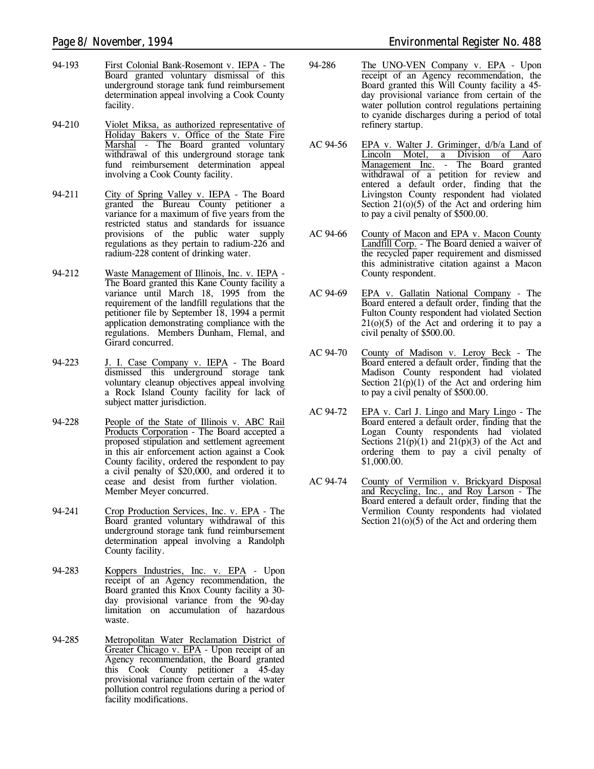- 94-193 First Colonial Bank-Rosemont v. IEPA The Board granted voluntary dismissal of this underground storage tank fund reimbursement determination appeal involving a Cook County facility.
- 94-210 Violet Miksa, as authorized representative of Holiday Bakers v. Office of the State Fire Marshal - The Board granted voluntary withdrawal of this underground storage tank fund reimbursement determination appeal involving a Cook County facility.
- 94-211 City of Spring Valley v. IEPA The Board granted the Bureau County petitioner a variance for a maximum of five years from the restricted status and standards for issuance provisions of the public water supply regulations as they pertain to radium-226 and radium-228 content of drinking water.
- 94-212 Waste Management of Illinois, Inc. v. IEPA The Board granted this Kane County facility a variance until March 18, 1995 from the requirement of the landfill regulations that the petitioner file by September 18, 1994 a permit application demonstrating compliance with the regulations. Members Dunham, Flemal, and Girard concurred.
- 94-223 J. I. Case Company v. IEPA The Board dismissed this underground storage tank voluntary cleanup objectives appeal involving a Rock Island County facility for lack of subject matter jurisdiction.
- 94-228 People of the State of Illinois v. ABC Rail Products Corporation - The Board accepted a proposed stipulation and settlement agreement in this air enforcement action against a Cook County facility, ordered the respondent to pay a civil penalty of \$20,000, and ordered it to cease and desist from further violation. Member Meyer concurred.
- 94-241 Crop Production Services, Inc. v. EPA The Board granted voluntary withdrawal of this underground storage tank fund reimbursement determination appeal involving a Randolph County facility.
- 94-283 Koppers Industries, Inc. v. EPA Upon receipt of an Agency recommendation, the Board granted this Knox County facility a 30 day provisional variance from the 90-day limitation on accumulation of hazardous waste.
- 94-285 Metropolitan Water Reclamation District of Greater Chicago v. EPA - Upon receipt of an Agency recommendation, the Board granted this Cook County petitioner a 45-day provisional variance from certain of the water pollution control regulations during a period of facility modifications.
- 94-286 The UNO-VEN Company v. EPA Upon receipt of an Agency recommendation, the Board granted this Will County facility a 45 day provisional variance from certain of the water pollution control regulations pertaining to cyanide discharges during a period of total refinery startup.
- AC 94-56 EPA v. Walter J. Griminger, d/b/a Land of Lincoln Motel, a Division of Aaro Management Inc. - The Board granted withdrawal of a petition for review and entered a default order, finding that the Livingston County respondent had violated Section  $21(0)(5)$  of the Act and ordering him to pay a civil penalty of \$500.00.
- AC 94-66 County of Macon and EPA v. Macon County Landfill Corp. - The Board denied a waiver of the recycled paper requirement and dismissed this administrative citation against a Macon County respondent.
- AC 94-69 EPA v. Gallatin National Company The Board entered a default order, finding that the Fulton County respondent had violated Section  $21(0)(5)$  of the Act and ordering it to pay a civil penalty of \$500.00.
- AC 94-70 County of Madison v. Leroy Beck The Board entered a default order, finding that the Madison County respondent had violated Section  $21(p)(1)$  of the Act and ordering him to pay a civil penalty of \$500.00.
- AC 94-72 EPA v. Carl J. Lingo and Mary Lingo The Board entered a default order, finding that the Logan County respondents had violated Sections  $21(p)(1)$  and  $21(p)(3)$  of the Act and ordering them to pay a civil penalty of \$1,000.00.
- AC 94-74 County of Vermilion v. Brickyard Disposal and Recycling, Inc., and Roy Larson - The Board entered a default order, finding that the Vermilion County respondents had violated Section 21(o)(5) of the Act and ordering them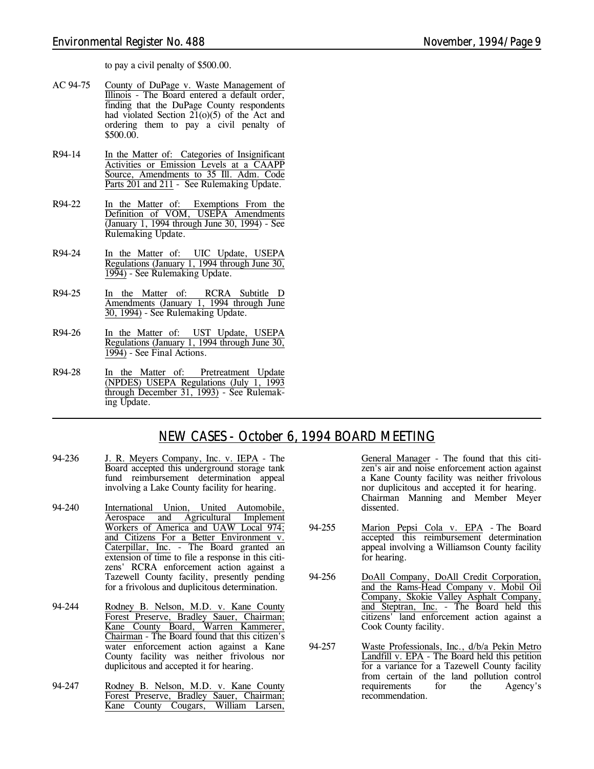to pay a civil penalty of \$500.00.

- AC 94-75 County of DuPage v. Waste Management of Illinois - The Board entered a default order, finding that the DuPage County respondents had violated Section  $21(0)(5)$  of the Act and ordering them to pay a civil penalty of \$500.00.
- R94-14 In the Matter of: Categories of Insignificant Activities or Emission Levels at a CAAPP Source, Amendments to 35 Ill. Adm. Code Parts 201 and 211 - *See Rulemaking Update.*
- R94-22 In the Matter of: Exemptions From the Definition of VOM, USEPA Amendments (January 1, 1994 through June 30, 1994) - *See Rulemaking Update.*
- R94-24 In the Matter of: UIC Update, USEPA Regulations (January 1, 1994 through June 30, 1994) - *See Rulemaking Update.*
- R94-25 In the Matter of: RCRA Subtitle D Amendments (January 1, 1994 through June 30, 1994) - *See Rulemaking Update.*
- R94-26 In the Matter of: UST Update, USEPA Regulations (January 1, 1994 through June 30, 1994) - *See Final Actions.*
- R94-28 In the Matter of: Pretreatment Update (NPDES) USEPA Regulations (July 1, 1993 through December 31, 1993) - *See Rulemaking Update.*

## *NEW CASES - October 6, 1994 BOARD MEETING*

- 94-236 J. R. Meyers Company, Inc. v. IEPA The Board accepted this underground storage tank fund reimbursement determination appeal involving a Lake County facility for hearing.
- 94-240 International Union, United Automobile, Aerospace and Agricultural Implement Workers of America and UAW Local 974; and Citizens For a Better Environment v. Caterpillar, Inc. - The Board granted an extension of time to file a response in this citizens' RCRA enforcement action against a Tazewell County facility, presently pending for a frivolous and duplicitous determination.
- 94-244 Rodney B. Nelson, M.D. v. Kane County Forest Preserve, Bradley Sauer, Chairman; Kane County Board, Warren Kammerer, Chairman - The Board found that this citizen's water enforcement action against a Kane County facility was neither frivolous nor duplicitous and accepted it for hearing.
- 94-247 Rodney B. Nelson, M.D. v. Kane County Forest Preserve, Bradley Sauer, Chairman; Kane County Cougars, William Larsen,

General Manager - The found that this citizen's air and noise enforcement action against a Kane County facility was neither frivolous nor duplicitous and accepted it for hearing. Chairman Manning and Member Meyer dissented.

- 94-255 Marion Pepsi Cola v. EPA The Board accepted this reimbursement determination appeal involving a Williamson County facility for hearing.
- 94-256 DoAll Company, DoAll Credit Corporation, and the Rams-Head Company v. Mobil Oil Company, Skokie Valley Asphalt Company, and Steptran, Inc. - The Board held this citizens' land enforcement action against a Cook County facility.
- 94-257 Waste Professionals, Inc., d/b/a Pekin Metro Landfill v. EPA - The Board held this petition for a variance for a Tazewell County facility from certain of the land pollution control requirements for the Agency's recommendation.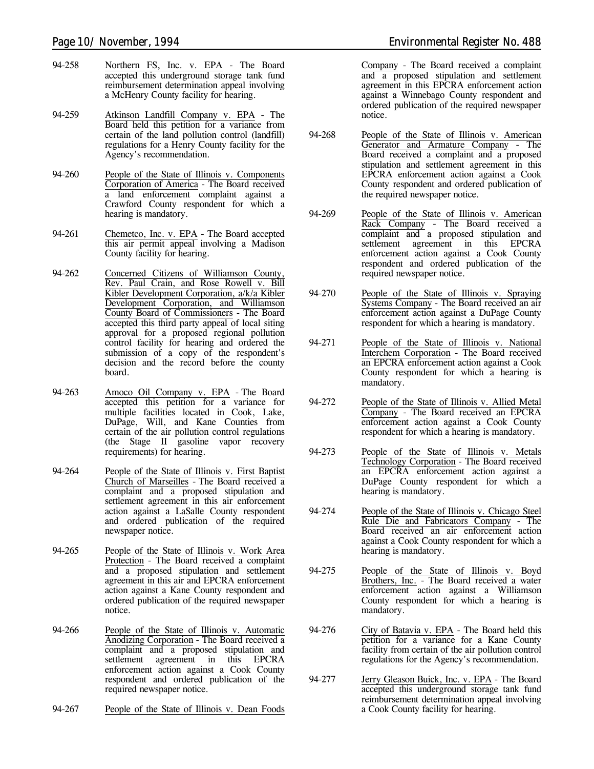- 94-258 Northern FS, Inc. v. EPA The Board accepted this underground storage tank fund reimbursement determination appeal involving a McHenry County facility for hearing.
- 94-259 Atkinson Landfill Company v. EPA The Board held this petition for a variance from certain of the land pollution control (landfill) regulations for a Henry County facility for the Agency's recommendation.
- 94-260 People of the State of Illinois v. Components Corporation of America - The Board received a land enforcement complaint against a Crawford County respondent for which a hearing is mandatory.
- 94-261 Chemetco, Inc. v. EPA The Board accepted this air permit appeal involving a Madison County facility for hearing.
- 94-262 Concerned Citizens of Williamson County, Rev. Paul Crain, and Rose Rowell v. Bill Kibler Development Corporation, a/k/a Kibler Development Corporation, and Williamson County Board of Commissioners - The Board accepted this third party appeal of local siting approval for a proposed regional pollution control facility for hearing and ordered the submission of a copy of the respondent's decision and the record before the county board.
- 94-263 Amoco Oil Company v. EPA The Board accepted this petition for a variance for multiple facilities located in Cook, Lake, DuPage, Will, and Kane Counties from certain of the air pollution control regulations (the Stage II gasoline vapor recovery requirements) for hearing.
- 94-264 People of the State of Illinois v. First Baptist Church of Marseilles - The Board received a complaint and a proposed stipulation and settlement agreement in this air enforcement action against a LaSalle County respondent and ordered publication of the required newspaper notice.
- 94-265 People of the State of Illinois v. Work Area Protection - The Board received a complaint and a proposed stipulation and settlement agreement in this air and EPCRA enforcement action against a Kane County respondent and ordered publication of the required newspaper notice.
- 94-266 People of the State of Illinois v. Automatic Anodizing Corporation - The Board received a complaint and a proposed stipulation and agreement in this EPCRA enforcement action against a Cook County respondent and ordered publication of the required newspaper notice.
- 94-267 People of the State of Illinois v. Dean Foods

Company - The Board received a complaint and a proposed stipulation and settlement agreement in this EPCRA enforcement action against a Winnebago County respondent and ordered publication of the required newspaper notice.

- 94-268 People of the State of Illinois v. American Generator and Armature Company - The Board received a complaint and a proposed stipulation and settlement agreement in this EPCRA enforcement action against a Cook County respondent and ordered publication of the required newspaper notice.
- 94-269 People of the State of Illinois v. American Rack Company - The Board received a complaint and a proposed stipulation and settlement agreement in this EPCRA enforcement action against a Cook County respondent and ordered publication of the required newspaper notice.
- 94-270 People of the State of Illinois v. Spraying Systems Company - The Board received an air enforcement action against a DuPage County respondent for which a hearing is mandatory.
- 94-271 People of the State of Illinois v. National Interchem Corporation - The Board received an EPCRA enforcement action against a Cook County respondent for which a hearing is mandatory.
- 94-272 People of the State of Illinois v. Allied Metal Company - The Board received an EPCRA enforcement action against a Cook County respondent for which a hearing is mandatory.
- 94-273 People of the State of Illinois v. Metals Technology Corporation - The Board received an EPCRA enforcement action against a DuPage County respondent for which a hearing is mandatory.
- 94-274 People of the State of Illinois v. Chicago Steel Rule Die and Fabricators Company - The Board received an air enforcement action against a Cook County respondent for which a hearing is mandatory.
- 94-275 People of the State of Illinois v. Boyd Brothers, Inc. - The Board received a water enforcement action against a Williamson County respondent for which a hearing is mandatory.
- 94-276 City of Batavia v. EPA The Board held this petition for a variance for a Kane County facility from certain of the air pollution control regulations for the Agency's recommendation.
- 94-277 Jerry Gleason Buick, Inc. v. EPA The Board accepted this underground storage tank fund reimbursement determination appeal involving a Cook County facility for hearing.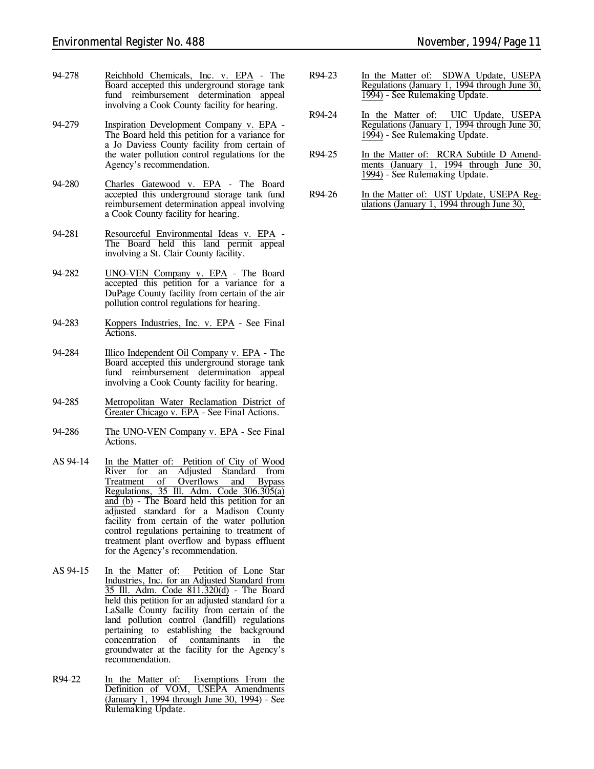- 94-278 Reichhold Chemicals, Inc. v. EPA The Board accepted this underground storage tank fund reimbursement determination appeal involving a Cook County facility for hearing.
- 94-279 Inspiration Development Company v. EPA The Board held this petition for a variance for a Jo Daviess County facility from certain of the water pollution control regulations for the Agency's recommendation.
- 94-280 Charles Gatewood v. EPA The Board accepted this underground storage tank fund reimbursement determination appeal involving a Cook County facility for hearing.
- 94-281 Resourceful Environmental Ideas v. EPA The Board held this land permit appeal involving a St. Clair County facility.
- 94-282 UNO-VEN Company v. EPA The Board accepted this petition for a variance for a DuPage County facility from certain of the air pollution control regulations for hearing.
- 94-283 Koppers Industries, Inc. v. EPA *See Final Actions.*
- 94-284 Illico Independent Oil Company v. EPA The Board accepted this underground storage tank fund reimbursement determination appeal involving a Cook County facility for hearing.
- 94-285 Metropolitan Water Reclamation District of Greater Chicago v. EPA - *See Final Actions.*
- 94-286 The UNO-VEN Company v. EPA *See Final Actions.*
- AS 94-14 In the Matter of: Petition of City of Wood River for an Adjusted Standard from<br>Treatment of Overflows and Bypass **Trepelove Community** Overflows and Bypass Regulations, 35 Ill. Adm. Code 306.305(a) and (b) - The Board held this petition for an adjusted standard for a Madison County facility from certain of the water pollution control regulations pertaining to treatment of treatment plant overflow and bypass effluent for the Agency's recommendation.
- AS 94-15 In the Matter of: Petition of Lone Star Industries, Inc. for an Adjusted Standard from 35 Ill. Adm. Code 811.320(d) - The Board held this petition for an adjusted standard for a LaSalle County facility from certain of the land pollution control (landfill) regulations pertaining to establishing the background concentration of contaminants in the groundwater at the facility for the Agency's recommendation.
- R94-22 In the Matter of: Exemptions From the Definition of VOM, USEPA Amendments (January 1, 1994 through June 30, 1994) - *See Rulemaking Update.*
- R94-23 In the Matter of: SDWA Update, USEPA Regulations (January 1, 1994 through June 30, 1994) - *See Rulemaking Update.*
- R94-24 In the Matter of: UIC Update, USEPA Regulations (January 1, 1994 through June 30, 1994) - *See Rulemaking Update.*
- R94-25 In the Matter of: RCRA Subtitle D Amendments (January 1, 1994 through June 30, 1994) - *See Rulemaking Update.*
- R94-26 In the Matter of: UST Update, USEPA Regulations (January 1, 1994 through June 30,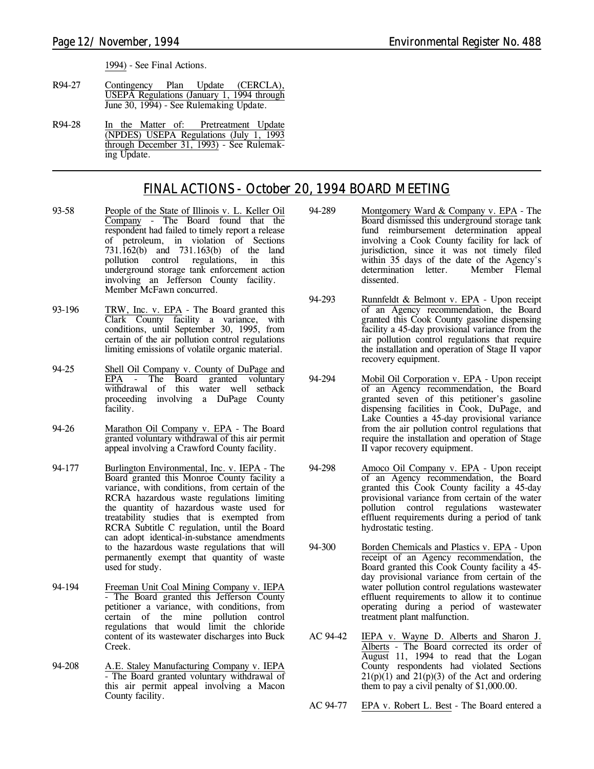1994) - *See Final Actions.*

- R94-27 Contingency Plan Update (CERCLA), USEPA Regulations (January 1, 1994 through June 30, 1994) - *See Rulemaking Update.*
- R94-28 In the Matter of: Pretreatment Update (NPDES) USEPA Regulations (July 1, 1993 through December 31, 1993) - *See Rulemaking Update.*

# *FINAL ACTIONS - October 20, 1994 BOARD MEETING*

- 93-58 People of the State of Illinois v. L. Keller Oil Company - The Board found that the respondent had failed to timely report a release of petroleum, in violation of Sections 731.162(b) and 731.163(b) of the land pollution control regulations, in this underground storage tank enforcement action involving an Jefferson County facility. Member McFawn concurred.
- 93-196 TRW, Inc. v. EPA The Board granted this Clark County facility a variance, with conditions, until September 30, 1995, from certain of the air pollution control regulations limiting emissions of volatile organic material.
- 94-25 Shell Oil Company v. County of DuPage and EPA - The Board granted voluntary withdrawal of this water well setback proceeding involving a DuPage County facility.
- 94-26 Marathon Oil Company v. EPA The Board granted voluntary withdrawal of this air permit appeal involving a Crawford County facility.
- 94-177 Burlington Environmental, Inc. v. IEPA The Board granted this Monroe County facility a variance, with conditions, from certain of the RCRA hazardous waste regulations limiting the quantity of hazardous waste used for treatability studies that is exempted from RCRA Subtitle C regulation, until the Board can adopt identical-in-substance amendments to the hazardous waste regulations that will permanently exempt that quantity of waste used for study.
- 94-194 Freeman Unit Coal Mining Company v. IEPA - The Board granted this Jefferson County petitioner a variance, with conditions, from certain of the mine pollution control regulations that would limit the chloride content of its wastewater discharges into Buck Creek.
- 94-208 A.E. Staley Manufacturing Company v. IEPA - The Board granted voluntary withdrawal of this air permit appeal involving a Macon County facility.
- 94-289 Montgomery Ward & Company v. EPA The Board dismissed this underground storage tank fund reimbursement determination appeal involving a Cook County facility for lack of jurisdiction, since it was not timely filed within 35 days of the date of the Agency's<br>determination letter. Member Flemal determination letter. dissented.
- 94-293 Runnfeldt & Belmont v. EPA Upon receipt of an Agency recommendation, the Board granted this Cook County gasoline dispensing facility a 45-day provisional variance from the air pollution control regulations that require the installation and operation of Stage II vapor recovery equipment.
- 94-294 Mobil Oil Corporation v. EPA Upon receipt of an Agency recommendation, the Board granted seven of this petitioner's gasoline dispensing facilities in Cook, DuPage, and Lake Counties a 45-day provisional variance from the air pollution control regulations that require the installation and operation of Stage II vapor recovery equipment.
- 94-298 Amoco Oil Company v. EPA Upon receipt of an Agency recommendation, the Board granted this Cook County facility a 45-day provisional variance from certain of the water pollution control regulations wastewater effluent requirements during a period of tank hydrostatic testing.
- 94-300 Borden Chemicals and Plastics v. EPA Upon receipt of an Agency recommendation, the Board granted this Cook County facility a 45 day provisional variance from certain of the water pollution control regulations wastewater effluent requirements to allow it to continue operating during a period of wastewater treatment plant malfunction.
- AC 94-42 IEPA v. Wayne D. Alberts and Sharon J. Alberts - The Board corrected its order of August 11, 1994 to read that the Logan County respondents had violated Sections  $21(p)(1)$  and  $21(p)(3)$  of the Act and ordering them to pay a civil penalty of \$1,000.00.
- AC 94-77 EPA v. Robert L. Best The Board entered a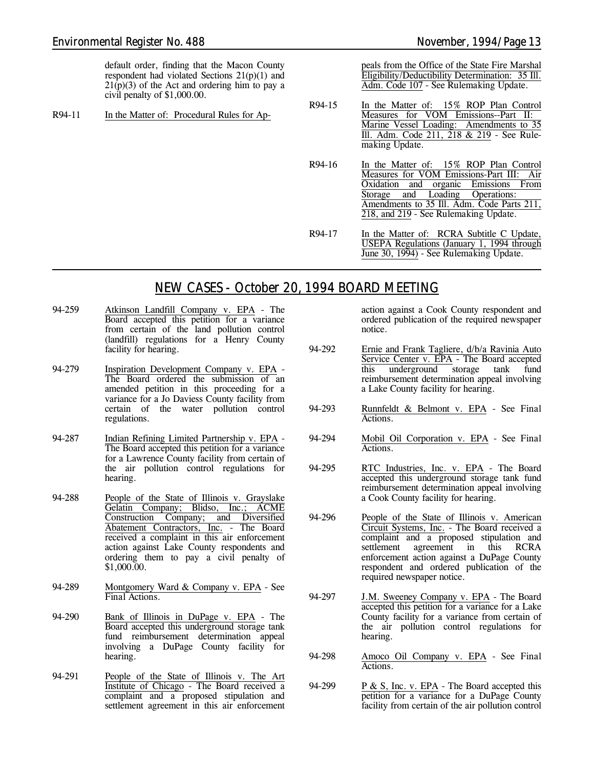default order, finding that the Macon County respondent had violated Sections 21(p)(1) and  $21(p)(3)$  of the Act and ordering him to pay a civil penalty of \$1,000.00.

R94-11 In the Matter of: Procedural Rules for Ap-

peals from the Office of the State Fire Marshal Eligibility/Deductibility Determination: 35 Ill. Adm. Code 107 - *See Rulemaking Update.*

- R94-15 In the Matter of: 15% ROP Plan Control Measures for VOM Emissions--Part II: Marine Vessel Loading: Amendments to 35 Ill. Adm. Code 211, 218 & 219 - *See Rulemaking Update.*
- R94-16 In the Matter of: 15% ROP Plan Control Measures for VOM Emissions-Part III: Air Oxidation and organic Emissions From Storage and Loading Operations: Amendments to 35 Ill. Adm. Code Parts 211, 218, and 219 - *See Rulemaking Update.*
- R94-17 In the Matter of: RCRA Subtitle C Update, USEPA Regulations (January 1, 1994 through June 30, 1994) - *See Rulemaking Update.*

#### *NEW CASES - October 20, 1994 BOARD MEETING*

- 94-259 Atkinson Landfill Company v. EPA The Board accepted this petition for a variance from certain of the land pollution control (landfill) regulations for a Henry County facility for hearing.
- 94-279 Inspiration Development Company v. EPA The Board ordered the submission of an amended petition in this proceeding for a variance for a Jo Daviess County facility from certain of the water pollution control regulations.
- 94-287 Indian Refining Limited Partnership v. EPA The Board accepted this petition for a variance for a Lawrence County facility from certain of the air pollution control regulations for hearing.
- 94-288 People of the State of Illinois v. Grayslake Gelatin Company; Blidso, Inc.; ACME<br>Construction Company; and Diversified Construction Company; and Diversified Abatement Contractors, Inc. - The Board received a complaint in this air enforcement action against Lake County respondents and ordering them to pay a civil penalty of \$1,000.00.
- 94-289 Montgomery Ward & Company v. EPA *See Final Actions.*
- 94-290 Bank of Illinois in DuPage v. EPA The Board accepted this underground storage tank fund reimbursement determination appeal involving a DuPage County facility for hearing.
- 94-291 People of the State of Illinois v. The Art Institute of Chicago - The Board received a complaint and a proposed stipulation and settlement agreement in this air enforcement

action against a Cook County respondent and ordered publication of the required newspaper notice.

- 94-292 Ernie and Frank Tagliere, d/b/a Ravinia Auto Service Center v. EPA - The Board accepted<br>this underground storage tank fund underground storage tank fund reimbursement determination appeal involving a Lake County facility for hearing.
- 94-293 Runnfeldt & Belmont v. EPA *See Final Actions.*
- 94-294 Mobil Oil Corporation v. EPA *See Final Actions.*
- 94-295 RTC Industries, Inc. v. EPA The Board accepted this underground storage tank fund reimbursement determination appeal involving a Cook County facility for hearing.
- 94-296 People of the State of Illinois v. American Circuit Systems, Inc. - The Board received a complaint and a proposed stipulation and settlement agreement in this RCRA enforcement action against a DuPage County respondent and ordered publication of the required newspaper notice.
- 94-297 J.M. Sweeney Company v. EPA The Board accepted this petition for a variance for a Lake County facility for a variance from certain of the air pollution control regulations for hearing.
- 94-298 Amoco Oil Company v. EPA *See Final Actions.*
- 94-299 P & S, Inc. v. EPA The Board accepted this petition for a variance for a DuPage County facility from certain of the air pollution control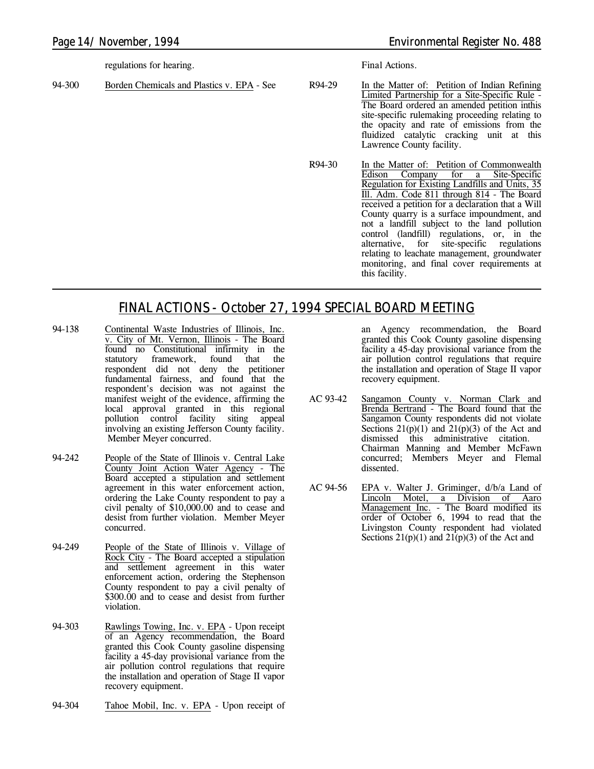regulations for hearing.

94-300 Borden Chemicals and Plastics v. EPA - *See*

*Final Actions.*

R94-29 In the Matter of: Petition of Indian Refining Limited Partnership for a Site-Specific Rule - The Board ordered an amended petition inthis site-specific rulemaking proceeding relating to the opacity and rate of emissions from the fluidized catalytic cracking unit at this Lawrence County facility.

R94-30 In the Matter of: Petition of Commonwealth Edison Company for a Site-Specific Regulation for Existing Landfills and Units, 35 Ill. Adm. Code 811 through 814 - The Board received a petition for a declaration that a Will County quarry is a surface impoundment, and not a landfill subject to the land pollution control (landfill) regulations, or, in the alternative, for site-specific regulations relating to leachate management, groundwater monitoring, and final cover requirements at this facility.

# *FINAL ACTIONS - October 27, 1994 SPECIAL BOARD MEETING*

- 94-138 Continental Waste Industries of Illinois, Inc. v. City of Mt. Vernon, Illinois - The Board found no Constitutional infirmity in the statutory framework, found that the respondent did not deny the petitioner fundamental fairness, and found that the respondent's decision was not against the manifest weight of the evidence, affirming the local approval granted in this regional pollution control facility siting appeal involving an existing Jefferson County facility. Member Meyer concurred.
- 94-242 People of the State of Illinois v. Central Lake County Joint Action Water Agency - The Board accepted a stipulation and settlement agreement in this water enforcement action, ordering the Lake County respondent to pay a civil penalty of \$10,000.00 and to cease and desist from further violation. Member Meyer concurred.
- 94-249 People of the State of Illinois v. Village of Rock City - The Board accepted a stipulation and settlement agreement in this water enforcement action, ordering the Stephenson County respondent to pay a civil penalty of \$300.00 and to cease and desist from further violation.
- 94-303 Rawlings Towing, Inc. v. EPA Upon receipt of an Agency recommendation, the Board granted this Cook County gasoline dispensing facility a 45-day provisional variance from the air pollution control regulations that require the installation and operation of Stage II vapor recovery equipment.
- 94-304 Tahoe Mobil, Inc. v. EPA Upon receipt of

an Agency recommendation, the Board granted this Cook County gasoline dispensing facility a 45-day provisional variance from the air pollution control regulations that require the installation and operation of Stage II vapor recovery equipment.

- AC 93-42 Sangamon County v. Norman Clark and Brenda Bertrand - The Board found that the Sangamon County respondents did not violate Sections  $21(p)(1)$  and  $21(p)(3)$  of the Act and dismissed this administrative citation. Chairman Manning and Member McFawn concurred; Members Meyer and Flemal dissented.
- AC 94-56 EPA v. Walter J. Griminger, d/b/a Land of Lincoln Motel, a Division of Aaro Management Inc. - The Board modified its order of October 6, 1994 to read that the Livingston County respondent had violated Sections  $21(p)(1)$  and  $21(p)(3)$  of the Act and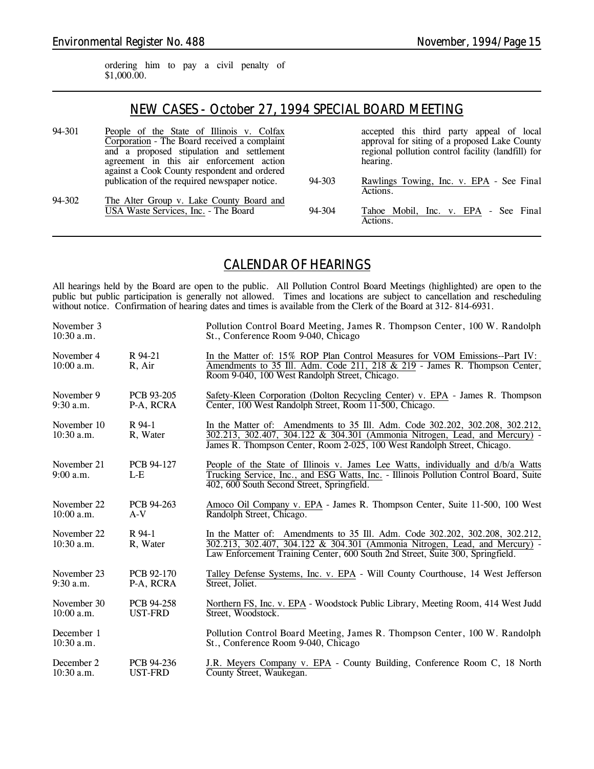ordering him to pay a civil penalty of \$1,000.00.

### *NEW CASES - October 27, 1994 SPECIAL BOARD MEETING*

| 94-301 | People of the State of Illinois v. Colfax     |        | accepted this third party appeal of local          |
|--------|-----------------------------------------------|--------|----------------------------------------------------|
|        | Corporation - The Board received a complaint  |        | approval for siting of a proposed Lake County      |
|        | and a proposed stipulation and settlement     |        | regional pollution control facility (landfill) for |
|        | agreement in this air enforcement action      |        | hearing.                                           |
|        | against a Cook County respondent and ordered  |        |                                                    |
|        | publication of the required newspaper notice. | 94-303 | Rawlings Towing, Inc. v. EPA - See Final           |
|        |                                               |        | Actions.                                           |
| 94-302 | The Alter Group v. Lake County Board and      |        |                                                    |
|        | USA Waste Services, Inc. - The Board          | 94-304 | Tahoe Mobil, Inc. v. EPA - See Final               |
|        |                                               |        | Actions.                                           |

### *CALENDAR OF HEARINGS*

All hearings held by the Board are open to the public. All Pollution Control Board Meetings (highlighted) are open to the public but public participation is generally not allowed. Times and locations are subject to cancellation and rescheduling without notice. Confirmation of hearing dates and times is available from the Clerk of the Board at 312-814-6931.

| November 3<br>$10:30$ a.m.  |                         | Pollution Control Board Meeting, James R. Thompson Center, 100 W. Randolph<br>St., Conference Room 9-040, Chicago                                                                                                                             |
|-----------------------------|-------------------------|-----------------------------------------------------------------------------------------------------------------------------------------------------------------------------------------------------------------------------------------------|
| November 4<br>10:00 a.m.    | R 94-21<br>R, Air       | In the Matter of: 15% ROP Plan Control Measures for VOM Emissions--Part IV:<br>Amendments to 35 Ill. Adm. Code 211, 218 & 219 - James R. Thompson Center,<br>Room 9-040, 100 West Randolph Street, Chicago.                                   |
| November 9<br>$9:30$ a.m.   | PCB 93-205<br>P-A, RCRA | Safety-Kleen Corporation (Dolton Recycling Center) v. EPA - James R. Thompson<br>Center, 100 West Randolph Street, Room 11-500, Chicago.                                                                                                      |
| November 10<br>10:30 a.m.   | R 94-1<br>R, Water      | In the Matter of: Amendments to 35 Ill. Adm. Code 302.202, 302.208, 302.212,<br>302.213, 302.407, 304.122 & 304.301 (Ammonia Nitrogen, Lead, and Mercury) -<br>James R. Thompson Center, Room 2-025, 100 West Randolph Street, Chicago.       |
| November 21<br>$9:00$ a.m.  | PCB 94-127<br>$L-E$     | People of the State of Illinois v. James Lee Watts, individually and d/b/a Watts<br>Trucking Service, Inc., and ESG Watts, Inc. - Illinois Pollution Control Board, Suite<br>402, 600 South Second Street, Springfield.                       |
| November 22<br>$10:00$ a.m. | PCB 94-263<br>$A-V$     | Amoco Oil Company v. EPA - James R. Thompson Center, Suite 11-500, 100 West<br>Randolph Street, Chicago.                                                                                                                                      |
| November 22<br>$10:30$ a.m. | R 94-1<br>R, Water      | In the Matter of: Amendments to 35 Ill. Adm. Code 302.202, 302.208, 302.212,<br>302.213, 302.407, 304.122 & 304.301 (Ammonia Nitrogen, Lead, and Mercury) -<br>Law Enforcement Training Center, 600 South 2nd Street, Suite 300, Springfield. |
| November 23<br>$9:30$ a.m.  | PCB 92-170<br>P-A, RCRA | Talley Defense Systems, Inc. v. EPA - Will County Courthouse, 14 West Jefferson<br>Street, Joliet.                                                                                                                                            |
| November 30<br>10:00 a.m.   | PCB 94-258<br>UST-FRD   | Northern FS, Inc. v. EPA - Woodstock Public Library, Meeting Room, 414 West Judd<br>Street, Woodstock.                                                                                                                                        |
| December 1<br>$10:30$ a.m.  |                         | Pollution Control Board Meeting, James R. Thompson Center, 100 W. Randolph<br>St., Conference Room 9-040, Chicago                                                                                                                             |
| December 2<br>$10:30$ a.m.  | PCB 94-236<br>UST-FRD   | J.R. Meyers Company v. EPA - County Building, Conference Room C, 18 North<br>County Street, Waukegan.                                                                                                                                         |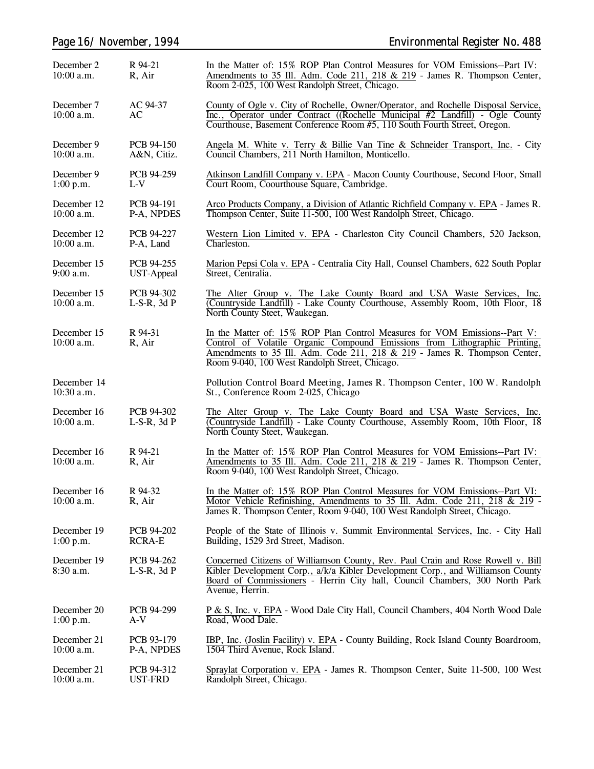|                             | Page 16/November, 1994          | <b>Environmental Register No. 488</b>                                                                                                                                                                                                                                                    |
|-----------------------------|---------------------------------|------------------------------------------------------------------------------------------------------------------------------------------------------------------------------------------------------------------------------------------------------------------------------------------|
| December 2<br>10:00 a.m.    | R 94-21<br>R, Air               | In the Matter of: 15% ROP Plan Control Measures for VOM Emissions--Part IV:<br>Amendments to 35 Ill. Adm. Code 211, 218 & 219 - James R. Thompson Center,<br>Room 2-025, 100 West Randolph Street, Chicago.                                                                              |
| December 7<br>10:00 a.m.    | AC 94-37<br>AC                  | County of Ogle v. City of Rochelle, Owner/Operator, and Rochelle Disposal Service,<br>Inc., Operator under Contract ((Rochelle Municipal #2 Landfill) - Ogle County<br>Courthouse, Basement Conference Room #5, 110 South Fourth Street, Oregon.                                         |
| December 9<br>10:00 a.m.    | PCB 94-150<br>A&N, Citiz.       | Angela M. White v. Terry & Billie Van Tine & Schneider Transport, Inc. - City<br>Council Chambers, 211 North Hamilton, Monticello.                                                                                                                                                       |
| December 9<br>1:00 p.m.     | PCB 94-259<br>$L-V$             | Atkinson Landfill Company v. EPA - Macon County Courthouse, Second Floor, Small<br>Court Room, Coourthouse Square, Cambridge.                                                                                                                                                            |
| December 12<br>$10:00$ a.m. | PCB 94-191<br>P-A, NPDES        | Arco Products Company, a Division of Atlantic Richfield Company v. EPA - James R.<br>Thompson Center, Suite 11-500, 100 West Randolph Street, Chicago.                                                                                                                                   |
| December 12<br>10:00 a.m.   | PCB 94-227<br>P-A, Land         | Western Lion Limited v. EPA - Charleston City Council Chambers, 520 Jackson,<br>Charleston.                                                                                                                                                                                              |
| December 15<br>9:00 a.m.    | PCB 94-255<br><b>UST-Appeal</b> | Marion Pepsi Cola v. EPA - Centralia City Hall, Counsel Chambers, 622 South Poplar<br>Street, Centralia.                                                                                                                                                                                 |
| December 15<br>$10:00$ a.m. | PCB 94-302<br>$L-S-R$ , 3d $P$  | The Alter Group v. The Lake County Board and USA Waste Services, Inc.<br>(Countryside Landfill) - Lake County Courthouse, Assembly Room, 10th Floor, 18<br>North County Steet, Waukegan.                                                                                                 |
| December 15<br>$10:00$ a.m. | R 94-31<br>R, Air               | In the Matter of: 15% ROP Plan Control Measures for VOM Emissions--Part V:<br>Control of Volatile Organic Compound Emissions from Lithographic Printing,<br>Amendments to 35 Ill. Adm. Code 211, 218 & 219 - James R. Thompson Center,<br>Room 9-040, 100 West Randolph Street, Chicago. |
| December 14<br>$10:30$ a.m. |                                 | Pollution Control Board Meeting, James R. Thompson Center, 100 W. Randolph<br>St., Conference Room 2-025, Chicago                                                                                                                                                                        |
| December 16<br>$10:00$ a.m. | PCB 94-302<br>$L-S-R$ , 3d $P$  | The Alter Group v. The Lake County Board and USA Waste Services, Inc.<br>(Countryside Landfill) - Lake County Courthouse, Assembly Room, 10th Floor, 18<br>North County Steet, Waukegan.                                                                                                 |
| December 16<br>$10:00$ a.m. | R 94-21<br>R, Air               | In the Matter of: 15% ROP Plan Control Measures for VOM Emissions--Part IV:<br>Amendments to 35 Ill. Adm. Code 211, 218 & 219 - James R. Thompson Center,<br>Room 9-040, 100 West Randolph Street, Chicago.                                                                              |
| December 16<br>$10:00$ a.m. | R 94-32<br>R, Air               | In the Matter of: 15% ROP Plan Control Measures for VOM Emissions--Part VI:<br>Motor Vehicle Refinishing, Amendments to 35 Ill. Adm. Code 211, 218 & 219 -<br>James R. Thompson Center, Room 9-040, 100 West Randolph Street, Chicago.                                                   |
| December 19<br>1:00 p.m.    | PCB 94-202<br><b>RCRA-E</b>     | People of the State of Illinois v. Summit Environmental Services, Inc. - City Hall<br>Building, 1529 3rd Street, Madison.                                                                                                                                                                |
| December 19<br>$8:30$ a.m.  | PCB 94-262<br>$L-S-R$ , 3d $P$  | Concerned Citizens of Williamson County, Rev. Paul Crain and Rose Rowell v. Bill<br>Kibler Development Corp., a/k/a Kibler Development Corp., and Williamson County<br>Board of Commissioners - Herrin City hall, Council Chambers, 300 North Park<br>Avenue, Herrin.                    |
| December 20<br>1:00 p.m.    | PCB 94-299<br>$A-V$             | P & S, Inc. v. EPA - Wood Dale City Hall, Council Chambers, 404 North Wood Dale<br>Road, Wood Dale.                                                                                                                                                                                      |
| December 21<br>$10:00$ a.m. | PCB 93-179<br>P-A, NPDES        | IBP, Inc. (Joslin Facility) v. EPA - County Building, Rock Island County Boardroom,<br>1504 Third Avenue, Rock Island.                                                                                                                                                                   |
| December 21<br>$10:00$ a.m. | PCB 94-312<br><b>UST-FRD</b>    | Spraylat Corporation v. EPA - James R. Thompson Center, Suite 11-500, 100 West<br>Randolph Street, Chicago.                                                                                                                                                                              |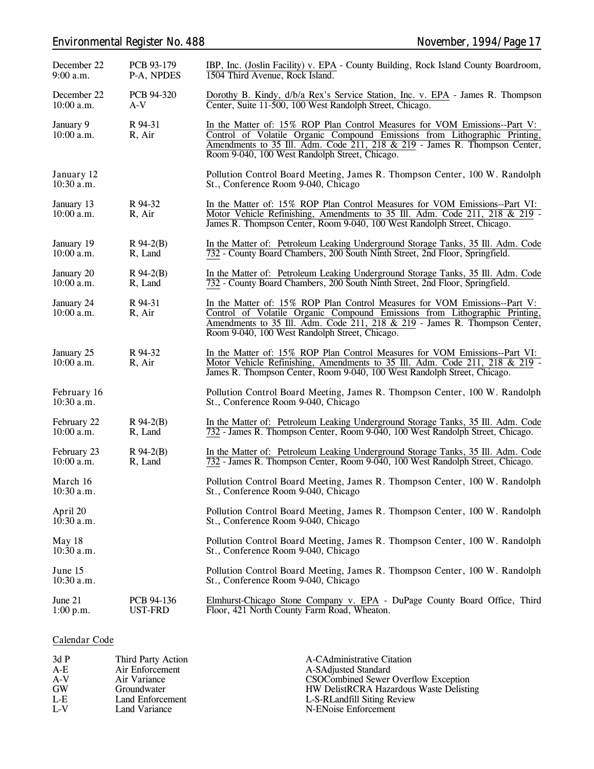# *Environmental Register No. 488 November, 1994/Page 17*

| December 22<br>$9:00$ a.m.  | PCB 93-179<br>P-A, NPDES     | IBP, Inc. (Joslin Facility) v. EPA - County Building, Rock Island County Boardroom,<br>1504 Third Avenue, Rock Island.                                                                                                                                                                   |
|-----------------------------|------------------------------|------------------------------------------------------------------------------------------------------------------------------------------------------------------------------------------------------------------------------------------------------------------------------------------|
| December 22<br>$10:00$ a.m. | PCB 94-320<br>A-V            | Dorothy B. Kindy, d/b/a Rex's Service Station, Inc. v. EPA - James R. Thompson<br>Center, Suite 11-500, 100 West Randolph Street, Chicago.                                                                                                                                               |
| January 9<br>10:00 a.m.     | R 94-31<br>R, Air            | In the Matter of: 15% ROP Plan Control Measures for VOM Emissions--Part V:<br>Control of Volatile Organic Compound Emissions from Lithographic Printing,<br>Amendments to 35 Ill. Adm. Code 211, 218 & 219 - James R. Thompson Center,<br>Room 9-040, 100 West Randolph Street, Chicago. |
| January 12<br>$10:30$ a.m.  |                              | Pollution Control Board Meeting, James R. Thompson Center, 100 W. Randolph<br>St., Conference Room 9-040, Chicago                                                                                                                                                                        |
| January 13<br>$10:00$ a.m.  | R 94-32<br>R, Air            | In the Matter of: 15% ROP Plan Control Measures for VOM Emissions--Part VI:<br>Motor Vehicle Refinishing, Amendments to 35 Ill. Adm. Code 211, 218 & 219 -<br>James R. Thompson Center, Room 9-040, 100 West Randolph Street, Chicago.                                                   |
| January 19<br>$10:00$ a.m.  | $R$ 94-2(B)<br>R, Land       | In the Matter of: Petroleum Leaking Underground Storage Tanks, 35 Ill. Adm. Code<br>732 - County Board Chambers, 200 South Ninth Street, 2nd Floor, Springfield.                                                                                                                         |
| January 20<br>$10:00$ a.m.  | $R$ 94-2(B)<br>R, Land       | In the Matter of: Petroleum Leaking Underground Storage Tanks, 35 Ill. Adm. Code<br>732 - County Board Chambers, 200 South Ninth Street, 2nd Floor, Springfield.                                                                                                                         |
| January 24<br>$10:00$ a.m.  | R 94-31<br>R, Air            | In the Matter of: 15% ROP Plan Control Measures for VOM Emissions--Part V:<br>Control of Volatile Organic Compound Emissions from Lithographic Printing,<br>Amendments to 35 Ill. Adm. Code 211, 218 & 219 - James R. Thompson Center,<br>Room 9-040, 100 West Randolph Street, Chicago. |
| January 25<br>$10:00$ a.m.  | R 94-32<br>R, Air            | In the Matter of: 15% ROP Plan Control Measures for VOM Emissions--Part VI:<br>Motor Vehicle Refinishing, Amendments to 35 Ill. Adm. Code 211, 218 & 219 -<br>James R. Thompson Center, Room 9-040, 100 West Randolph Street, Chicago.                                                   |
| February 16<br>$10:30$ a.m. |                              | Pollution Control Board Meeting, James R. Thompson Center, 100 W. Randolph<br>St., Conference Room 9-040, Chicago                                                                                                                                                                        |
| February 22<br>$10:00$ a.m. | $R$ 94-2(B)<br>R, Land       | In the Matter of: Petroleum Leaking Underground Storage Tanks, 35 Ill. Adm. Code<br>732 - James R. Thompson Center, Room 9-040, 100 West Randolph Street, Chicago.                                                                                                                       |
| February 23<br>$10:00$ a.m. | $R$ 94-2(B)<br>R, Land       | In the Matter of: Petroleum Leaking Underground Storage Tanks, 35 Ill. Adm. Code<br>732 - James R. Thompson Center, Room 9-040, 100 West Randolph Street, Chicago.                                                                                                                       |
| March 16<br>10:30 a.m.      |                              | Pollution Control Board Meeting, James R. Thompson Center, 100 W. Randolph<br>St., Conference Room 9-040, Chicago                                                                                                                                                                        |
| April 20<br>$10:30$ a.m.    |                              | Pollution Control Board Meeting, James R. Thompson Center, 100 W. Randolph<br>St., Conference Room 9-040, Chicago                                                                                                                                                                        |
| May 18<br>$10:30$ a.m.      |                              | Pollution Control Board Meeting, James R. Thompson Center, 100 W. Randolph<br>St., Conference Room 9-040, Chicago                                                                                                                                                                        |
| June 15<br>$10:30$ a.m.     |                              | Pollution Control Board Meeting, James R. Thompson Center, 100 W. Randolph<br>St., Conference Room 9-040, Chicago                                                                                                                                                                        |
| June 21<br>1:00 p.m.        | PCB 94-136<br><b>UST-FRD</b> | Elmhurst-Chicago Stone Company v. EPA - DuPage County Board Office, Third<br>Floor, 421 North County Farm Road, Wheaton.                                                                                                                                                                 |

#### **Calendar Code**

| 3dP       | Third Party Action | A-CAdministrative Citation              |
|-----------|--------------------|-----------------------------------------|
| $A-E$     | Air Enforcement    | A-SAdjusted Standard                    |
| $A-V$     | Air Variance       | CSOCombined Sewer Overflow Exception    |
| <b>GW</b> | Groundwater        | HW DelistRCRA Hazardous Waste Delisting |
| $L-E$     | Land Enforcement   | L-S-RLandfill Siting Review             |
| $L-V$     | Land Variance      | N-ENoise Enforcement                    |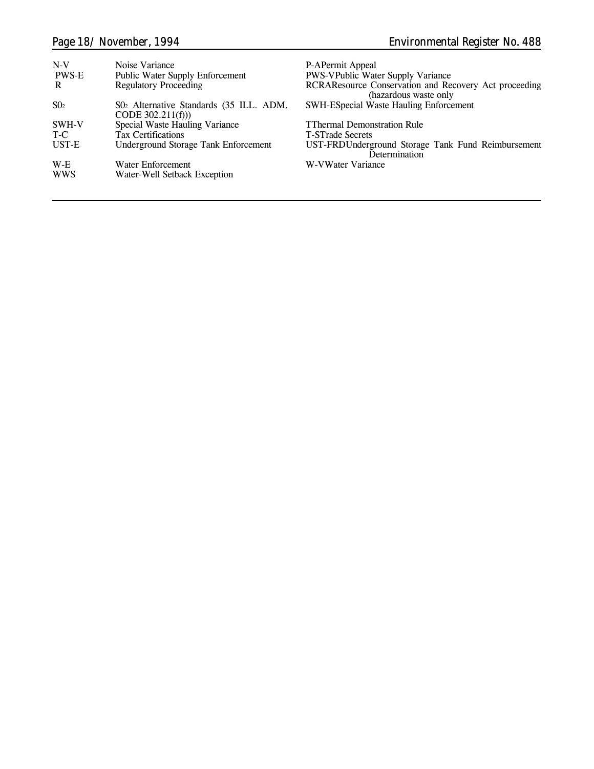| $N-V$        | Noise Variance                                                | P-APermit Appeal                                                               |
|--------------|---------------------------------------------------------------|--------------------------------------------------------------------------------|
| <b>PWS-E</b> | <b>Public Water Supply Enforcement</b>                        | <b>PWS-VPublic Water Supply Variance</b>                                       |
| R            | <b>Regulatory Proceeding</b>                                  | RCRAResource Conservation and Recovery Act proceeding<br>(hazardous waste only |
| $S_{02}$     | S02 Alternative Standards (35 ILL. ADM.<br>CODE $302.211(f))$ | <b>SWH-ESpecial Waste Hauling Enforcement</b>                                  |
| SWH-V        | Special Waste Hauling Variance                                | <b>TThermal Demonstration Rule</b>                                             |
| T-C          | <b>Tax Certifications</b>                                     | <b>T-STrade Secrets</b>                                                        |
| UST-E        | <b>Underground Storage Tank Enforcement</b>                   | UST-FRDUnderground Storage Tank Fund Reimbursement<br>Determination            |
| $W-E$        | Water Enforcement                                             | W-VWater Variance                                                              |
| <b>WWS</b>   | Water-Well Setback Exception                                  |                                                                                |
|              |                                                               |                                                                                |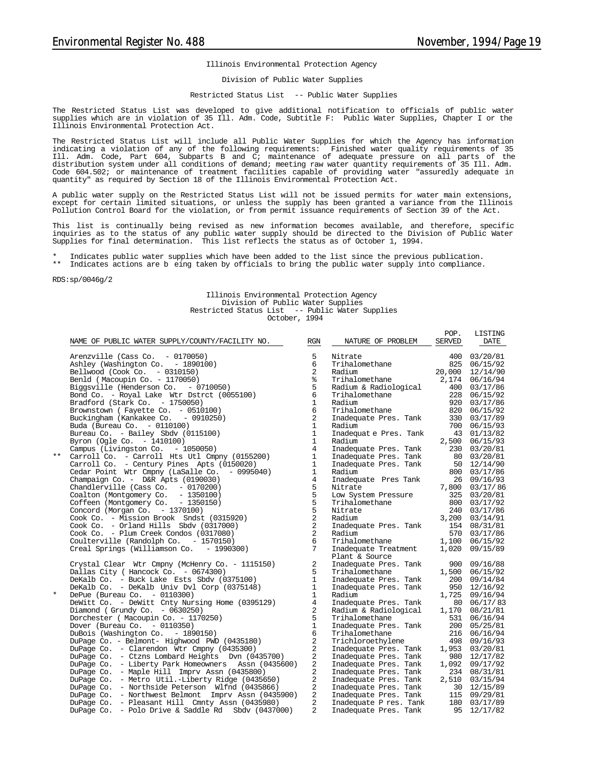#### Illinois Environmental Protection Agency

Division of Public Water Supplies

#### Restricted Status List -- Public Water Supplies

The Restricted Status List was developed to give additional notification to officials of public water supplies which are in violation of 35 Ill. Adm. Code, Subtitle F: Public Water Supplies, Chapter I or the Illinois Environmental Protection Act.

The Restricted Status List will include all Public Water Supplies for which the Agency has information indicating a violation of any of the following requirements: Finished water quality requirements of 35 Ill. Adm. Code, Part 604, Subparts B and C; maintenance of adequate pressure on all parts of the distribution system under all conditions of demand; meeting raw water quantity requirements of 35 Ill. Adm. Code 604.502; or maintenance of treatment facilities capable of providing water "assuredly adequate in quantity" as required by Section 18 of the Illinois Environmental Protection Act.

A public water supply on the Restricted Status List will not be issued permits for water main extensions, except for certain limited situations, or unless the supply has been granted a variance from the Illinois Pollution Control Board for the violation, or from permit issuance requirements of Section 39 of the Act.

This list is continually being revised as new information becomes available, and therefore, specific inquiries as to the status of any public water supply should be directed to the Division of Public Water Supplies for final determination. This list reflects the status as of October 1, 1994.

- \* Indicates public water supplies which have been added to the list since the previous publication.<br>\*\* Indicates actions are begins taken by officials to bring the public water supply into compliance
- Indicates actions are b eing taken by officials to bring the public water supply into compliance.

RDS:sp/0046g/2

#### Illinois Environmental Protection Agency Division of Public Water Supplies Restricted Status List -- Public Water Supplies October, 1994

|         | NAME OF PUBLIC WATER SUPPLY/COUNTY/FACILITY NO.     | RGN            | NATURE OF PROBLEM                              | POP.<br><b>SERVED</b> | LISTING<br>DATE |
|---------|-----------------------------------------------------|----------------|------------------------------------------------|-----------------------|-----------------|
|         | Arenzville (Cass Co. $-0170050$ )                   | 5              | Nitrate                                        | 400                   | 03/20/81        |
|         | Ashley (Washington Co. - 1890100)                   | 6              | Trihalomethane                                 |                       | 825 06/15/92    |
|         | Bellwood (Cook Co. - 0310150)                       | 2              | Radium                                         | 20,000                | 12/14/90        |
|         | Benld (Macoupin Co. - 1170050)                      | ⊱              | Trihalomethane                                 | 2,174                 | 06/16/94        |
|         | Biggsville (Henderson Co. - 0710050)                | 5              | Radium & Radiological                          | 400                   | 03/17/86        |
|         | Bond Co. - Royal Lake Wtr Dstrct (0055100)          | 6              | Trihalomethane                                 | 228                   | 06/15/92        |
|         | Bradford (Stark Co. - 1750050)                      | $\mathbf{1}$   | Radium                                         | 920                   | 03/17/86        |
|         | Brownstown ( Fayette Co. - 0510100)                 | 6              | Trihalomethane                                 | 820                   | 06/15/92        |
|         | Buckingham (Kankakee Co. - 0910250)                 | $\overline{a}$ | Inadequate Pres. Tank                          |                       | 330 03/17/89    |
|         | Buda (Bureau Co. - 0110100)                         | $\mathbf{1}$   | Radium                                         |                       | 700 06/15/93    |
|         | Bureau Co. - Bailey Sbdy (0115100)                  | $\mathbf{1}$   | Inadequat e Pres. Tank                         |                       | 43 01/13/82     |
|         | Byron (Ogle Co. - 1410100)                          | $\mathbf{1}$   | Radium                                         | 2,500                 | 06/15/93        |
|         | Campus (Livingston Co. - 1050050)                   | $\overline{4}$ | Inadequate Pres. Tank                          |                       | 230 03/20/81    |
| $***$   | Carroll Co. - Carroll Hts Utl Cmpny (0155200)       | $\mathbf{1}$   | Inadequate Pres. Tank                          |                       | 80 03/20/81     |
|         | Carroll Co. - Century Pines Apts (0150020)          | $\mathbf{1}$   | Inadequate Pres. Tank                          |                       | 50 12/14/90     |
|         | Cedar Point Wtr Cmpny (LaSalle Co.<br>$-0995040)$   | $\mathbf{1}$   | Radium                                         |                       | 800 03/17/86    |
|         | Champaign Co. - D&R Apts (0190030)                  | $\overline{4}$ | Inadequate Pres Tank                           |                       | 26 09/16/93     |
|         | Chandlerville (Cass Co. - 0170200)                  | 5              | Nitrate                                        | 7,800                 | 03/17/86        |
|         | Coalton (Montgomery Co. - 1350100)                  | 5              | Low System Pressure                            |                       | 325 03/20/81    |
|         | Coffeen (Montgomery Co. - 1350150)                  | $\overline{5}$ | Trihalomethane                                 |                       | 800 03/17/92    |
|         | Concord (Morgan Co. - 1370100)                      | 5              | Nitrate                                        |                       | 240 03/17/86    |
|         | Cook Co. - Mission Brook Sndst (0315920)            | $\overline{a}$ | Radium                                         |                       | 3,200 03/14/91  |
|         | $Cook Co. - Orlando Hills Sbdv (0317000)$           | 2              | Inadequate Pres. Tank                          |                       | 154 08/31/81    |
|         | Cook Co. - Plum Creek Condos (0317080)              | 2              | Radium                                         |                       | 570 03/17/86    |
|         | Coulterville (Randolph Co. - 1570150)               | 6              | Trihalomethane                                 | 1,100                 | 06/15/92        |
|         | Creal Springs (Williamson Co. - 1990300)            | 7              | Inadequate Treatment                           | 1,020                 | 09/15/89        |
|         |                                                     |                | Plant & Source                                 |                       |                 |
|         | Crystal Clear Wtr Cmpny (McHenry Co. - 1115150)     | 2              | Inadequate Pres. Tank                          | 900                   | 09/16/88        |
|         | Dallas City ( Hancock Co. - 0674300)                | 5              | Trihalomethane                                 | 1,500                 | 06/15/92        |
|         | DeKalb Co. - Buck Lake Ests Sbdy (0375100)          | $\mathbf{1}$   | Inadequate Pres. Tank                          | 200                   | 09/14/84        |
|         | DeKalb Co. - DeKalb Univ Dvl Corp (0375148)         | 1              | Inadequate Pres. Tank                          | 950                   | 12/16/92        |
| $\star$ | DePue (Bureau Co. - 0110300)                        | $\mathbf{1}$   | Radium                                         | 1,725                 | 09/16/94        |
|         | DeWitt Co. - DeWitt Cnty Nursing Home (0395129)     | 4              | Inadequate Pres. Tank                          | 80                    | 06/17/83        |
|         | Diamond (Grundy Co. $-0630250$ )                    | 2              | Radium & Radiological                          | 1,170                 | 08/21/81        |
|         | Dorchester (Macoupin Co. - 1170250)                 | 5              | Trihalomethane                                 | 531                   | 06/16/94        |
|         | Dover (Bureau Co. $-0110350$ )                      | $\mathbf{1}$   | Inadequate Pres. Tank                          |                       | 200 05/25/81    |
|         | DuBois (Washington Co. - 1890150)                   | 6              | Trihalomethane                                 | 216                   | 06/16/94        |
|         | DuPage Co. - Belmont- Highwood PWD (0435180)        | $\overline{a}$ | Trichloroethylene                              |                       | 498 09/16/93    |
|         | DuPage Co. - Clarendon Wtr Cmpny (0435300)          | 2              | Inadequate Pres. Tank                          | 1,953                 | 03/20/81        |
|         | DuPage Co. - Ctzns Lombard Heights Dyn (0435700)    | $\overline{a}$ | Inadequate Pres. Tank                          | 980                   | 12/17/82        |
|         | DuPage Co. - Liberty Park Homeowners Assn (0435600) | 2              | Inadequate Pres. Tank                          | 1,092                 | 09/17/92        |
|         | DuPage Co. - Maple Hill Imprv Assn (0435800)        | $\overline{2}$ | Inadequate Pres. Tank                          |                       | 234 08/31/81    |
|         | DuPage Co. - Metro Util.-Liberty Ridge (0435650)    | 2              | Inadequate Pres. Tank                          | 2,510                 | 03/15/94        |
|         | DuPage Co. - Northside Peterson Wlfnd (0435866)     | 2              | Inadequate Pres. Tank                          | 30                    | 12/15/89        |
|         | DuPage Co. - Northwest Belmont Imprv Assn (0435900) | 2              | Inadequate Pres. Tank<br>Inadequate Pres. Tank |                       | 115 09/29/81    |
|         | DuPage Co. - Pleasant Hill Cmnty Assn (0435980)     | 2              | Inadequate P res. Tank                         | 180                   | 03/17/89        |
|         | DuPage Co. - Polo Drive & Saddle Rd Sbdv (0437000)  | $\overline{a}$ | Inadequate Pres. Tank                          | 95                    | 12/17/82        |
|         |                                                     |                |                                                |                       |                 |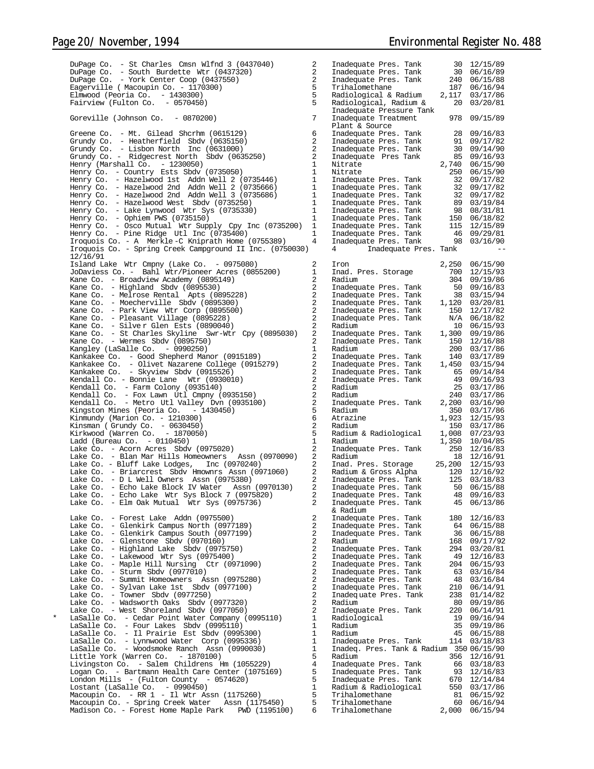DuPage Co. - St Charles Cmsn Wlfnd 3 (0437040) 2 Inadequate Pres. Tank 30 12/15/89 DuPage Co. - South Burdette Wtr (0437320) 2 Inadequate Pres. Tank 30 06/16/89 DuPage Co. - South Burdette Wtr (0437320)<br>
DuPage Co. - York Center Coop (0437550)<br>
DuPage Co. - York Center Coop (0437550)<br>
Eagerville (Macoupin Co. - 1170300)<br>
Emwood (Peoria Co. - 1430300)<br>
2 Inadequate Pres. Tank 240 0 Eagerville ( Macoupin Co. - 1170300) 5 Trihalomethane 187 06/16/94 Elmwood (Peoria Co. - 1430300) 5 Radiological & Radium 2,117 03/17/86 Fairview (Fulton Co. - 0570450) 5 Radiological, Radium & 20 03/20/81 Inadequate Pressure Tank Goreville (Johnson Co. - 0870200) 7 Inadequate Treatment 978 09/15/89 Plant & Source<br>
Inadequate Pres. Tank and Paladequate Pres. Tank and Paladequate Pres. Tank and Paladequate Pres Tank and Paladequate Pres Tank and Paladequate Pres Tank and Paladequate Pres Tank and Paladequate Pres Tank Greene Co. - Mt. Gilead Shcrhm (0615129) 6 Inadequate Pres. Tank 28 09/16/83 Grundy Co. - Heatherfield Sbdv (0635150) 2 Inadequate Pres. Tank 91 09/17/82 Grundy Co. - Lisbon North Inc (0631000) and the material of the control of the control of the control of the control of the control of the control of the control of the control of the control of the control of the control Grundy Co. - Ridgecrest North Sbdv (0635250) 2 Inadequate Pres Tank 85 09/16/93<br>Henry (Marshall Co. - 1230050) 1 1 Nitrate 2,740 06/15/90 Henry (Marshall Co. - 1230050) 1 1 11 Nitrate 2,740 06/15/90<br>Henry Co. - Country Ests Sbdv (0735050) 1 11 11 11 11 11 11 11 12 250 06/15/90<br>Henry Co. - Hazelwood 1st Addn Well 2 (0735446) 1 11 11 11 11 11 11 11 11 11 11 11 Henry Co. - Hazelwood Mest Sbdv (0735250) 1<br>Henry Co. - Hazelwood West Sbdv (0735330) 1<br>Henry Co. - Lake Lynwood Wtr Sys (0735330) 1 1 Mitrate 250 06/15/90<br>
1 Inadequate Pres. Tank 32 09/17/82<br>
1 Inadequate Pres. Tank 32 09/17/82<br>
1 Inadequate Pres. Tank 89 03/19/84<br>
1 Inadequate Pres. Tank 98 08/31/81<br>
1 Inadequate Pres. Tank 98 08/31/81<br>
2 Inadequate Henry Co. - Ophiem PWS (0735150) 1 Inadequate Pres. Tank 150 06/18/82 Henry Co. - Osco Mutual Wtr Supply Cpy Inc (0735200) 1 Inadequate Pres. Tank 115 12/15/89 Henry Co. – Pine Ridge Utl Inc (0735400) Inadequate Pres. Tank 46 09/29/81<br>Iroquois Co. – A Merkle –C Kniprath Home (0755389) 4 Inadequate Pres. Tank 98 03/16/90 Iroquois Co. - Spring Creek Campground II Inc. (0750030) 4 Inadequate Pres. Tank -- 12/16/91 Island Lake Wtr Cmpny (Lake Co. - 0975080) 2 Iron 2,250 06/15/90 JoDaviess Co. - Bahl Wtr/Pioneer Acres (0855200) 1 Inad. Pres. Storage 700 12/15/93 Kane Co. - Broadview Academy (0895149) 2 Radium 304 09/19/86 Kane Co. - Highland Sbdv (0895530) 2 Inadequate Pres. Tank 50 09/16/83 Kane Co. - Melrose Rental Apts (0895228) 2 Inadequate Pres. Tank 38 03/15/94 Kane Co. - Moecherville Sbdv (0895300) 2 Inadequate Pres. Tank 1,120 03/20/81<br>Kane Co. - Park View Wtr Corp (0895500) 2 Inadequate Pres. Tank 150 12/17/82<br>Kane Co. - P Kane Co. - Silve r Glen Ests (0890040) 2 Radium 10 06/15/93 Kane Co. - St Charles Skyline Swr-Wtr Cpy (0895030) 2<br>Kane Co. - Wermes Skdy (0895750) 2 Kane Co. - Wermes Sbdv (0895750) 2 Inadequate Pres. Tank 150 12/16/88 Kangley (LaSalle Co. - 0990250) 1 Radium 200 03/17/86 Kankakee Co. - Good Shepherd Manor (0915189) 2 Inadequate Pres. Tank 140 03/17/89<br>Kankakee Co. - Olivet Nazarene College (0915279) 2 Inadequate Pres. Tank 1,450 03/15/94<br>Kankakee Co. - Skyview Sbdv (0915 Kendall Co. - Bonnie Lane Wtr (0930010) 2 Inadequate Pres. Tank 49 09/16/93 Kendall Co. - Farm Colony (0935140) 2 Radium 25 03/17/86 Kendall Co. - Fox Lawn Utl Cmpny (0935150) 2 Radium 240 03/17/86 Kendall Co. - Metro Utl Valley Dvn (0935100) 2 Inadequate Pres. Tank 2,200 03/16/90 Kingston Mines (Peoria Co. - 1430450)<br>
Kingston Mines (Peoria Co. - 1430450)<br>
Kinmundy (Marion Co. - 1210300) 5 Radium 350 03/17/86<br>
Subsequently (Marion Co. - 1210300) 5 Radium 350 03/17/86 Kinmundy (Marion Co. - 1210300) 6 Atrazine 1,923 12/15/93 Kinsman ( Grundy Co. - 0630450) 2 Radium 150 03/17/86 1 Radium & Radiological 1,008 07/23/93<br>1 Radium 1,350 10/04/85 Ladd (Bureau Co. - 0110450)<br>
Lake Co. - Acorn Acres Sbdv (0975020) 1.350 10/04/85<br>
2 11 Radium 1,350 10/04/85 Lake Co. - Acorn Acres Sbdv (0975020) 2 Inadequate Pres. Tank 250 12/16/83 Lake Co. - Blan Mar Hills Homeowners Assn (0970090) 2 Radium 18 12/16/91 Lake Co. - Bluff Lake Lodges, Inc (0970240)<br>
Lake Co. - Bluff Lake Lodges, Inc (0970240)<br>
Lake Co. - Briancrest Sbdv Hmownrs Assn (0971060)<br>
2 Inadequate Pres. Tank 125 03/18/83<br>
Lake Co. - Echo Lake Wir Water Assn (097013 Lake Co. - Briarcrest Sbdv Hmownrs Assn (0971060) 2 Radium & Gross Alpha 120 12/16/92 Lake Co. - D L Well Owners Assn  $(0975380)$ <br>
Lake Co. - Echo Lake Block IV Water Assn  $(0970130)$  2 Inadequate Pres. Tank 50 06/15/88<br>
Lake Co. - Echo Lake Witr Sys Block 7 (0975820) 2 Inadequate Pres. Tank 48 09/16/83<br>
2 Lake Co. - Echo Lake Block IV Water Assn (0970130) 2 Inadequate Pres. Tank 50 06/15/88 Lake Co. - Echo Lake Wtr Sys Block 7 (0975820) 2 Inadequate Pres. Tank 48 09/16/83 Lake Co. - Elm Oak Mutual Wtr Sys (0975736) 2 Inadequate Pres. Tank 45 06/13/86 & Radium Lake Co. - Forest Lake Addn (0975500) 2 Inadequate Pres. Tank 180 12/16/83 Lake Co. - Glenkirk Campus North (0977189) 2 Inadequate Pres. Tank 64 06/15/88 Lake Co. - Glenkirk Campus South (0977199) 2 Inadequate Pres. Tank 36 06/15/88 Lake Co. - Glenstone Sbdv (0970160) 2 Radium 168 09/17/92<br>
Lake Co. - Highland Lake Sbdv (0975750) 2 Inadequate Pres. Tank 294 03/20/81<br>
Lake Co. - Lakewood Wtr Sys (0975400) 2 Inadequate Pres. Tank 49 12/16/83<br>
Lake Co. -Lake Co. - Highland Lake Sbdv (0975750) 2 Inadequate Pres. Tank 294 03/20/81 Lake Co. - Lakewood Wtr Sys (0975400) 2 Inadequate Pres. Tank 49 12/16/83 Lake Co. - Maple Hill Nursing Ctr (0971090) 2 Inadequate Pres. Tank 204 06/15/93 Lake Co. - Sturm Sbdv (0977010) 2 Inadequate Pres. Tank 63 03/16/84 Lake Co. - Summit Homeowners Assn (0975280) 2 Inadequate Pres. Tank 48 03/16/84 Lake Co. - Sylvan Lake 1st Sbdv (0977100) 2 Inadequate Pres. Tank 210 06/14/91 Lake Co. - Towner Sbdv (0977250)<br>
Lake Co. - Wadsworth Oaks Sbdv (0977320) 2 Radium 20 09/19/86<br>
Lake Co. - West Shoreland Sbdv (0977050) 2 Inadequate Pres. Tank 220 06/14/91 Lake Co. - Wadsworth Oaks Sbdv (0977320) 2 Radium 80 09/19/86 Lake Co. - West Shoreland Sbdv (0977050) 2 Inadequate Pres. Tank 220 06/14/91 \* LaSalle Co. - Cedar Point Water Company (0995110) 1 Radiological 19 09/16/94 LaSalle Co. - Four Lakes Sbdv (0995110) 1 Radium 35 09/19/86 LaSalle Co. - Il Prairie Est Sbdv (0995300) 1 Radium 45 06/15/88 LaSalle Co. – Lynnwood Water Corp (0995336) Inadequate Pres. Tank 114 03/18/83<br>LaSalle Co. – Woodsmoke Ranch Assn (0990030) Inadeq. Pres. Tank & Radium 350 06/15/90 Little York (Warren Co. - 1870100) 5 Radium 356 12/16/91 Livingston Co. - Salem Childrens Hm (1055229) 4 Inadequate Pres. Tank 66 03/18/83 Logan Co. - Bartmann Health Care Center (1075169) 5<br>London Mills - (Fulton County - 0574620) 5 1 12000 115/90<br>
Hadequate Pres. Tank 66 03/16/91<br>
16 12/16/91<br>
5 Inadequate Pres. Tank 670 12/16/83<br>
5 Inadequate Pres. Tank 670 12/14/84<br>
1 Radium & Radiological 550 03/17/86<br>
5 Trihalomethane 81 06/15/92<br>
7 Trihalomethan Lostant (LaSalle Co. - 0990450) 1 Radium & Radiological 550 03/17/86 Macoupin Co. - RR 1 - Il Wtr Assn (1175260) 5 Trihalomethane 81 06/15/92 Macoupin Co. - Spring Creek Water Assn (1175450) 5 Trihalomethane 60 06/16/94 Madison Co. - Forest Home Maple Park PWD (1195100)  $\overline{6}$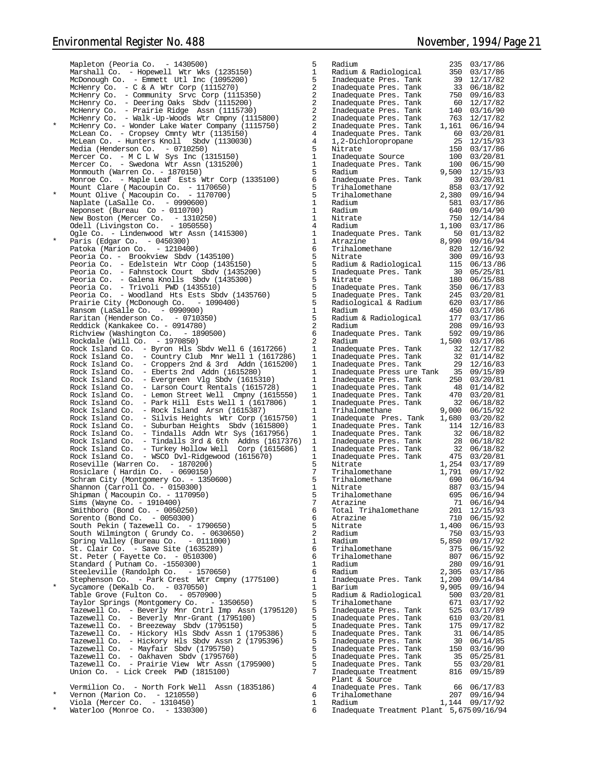Waterloo (Monroe Co. - 1330300) 6 Inadequate Treatment Plant 5,675 09/16/94

|          | Mapleton (Peoria Co. - 1430500)                                               | 5              | Radium                                                             |     | 235 03/17/86                                   |
|----------|-------------------------------------------------------------------------------|----------------|--------------------------------------------------------------------|-----|------------------------------------------------|
|          | Marshall Co. - Hopewell Wtr Wks (1235150)                                     | $\mathbf{1}$   | Radium & Radiological                                              |     | 350 03/17/86                                   |
|          | McDonough Co. - Emmett Utl Inc (1095200)                                      | 5              | Inadequate Pres. Tank                                              |     | 39 12/17/82                                    |
|          | McHenry Co. $-$ C & A Wtr Corp (1115270)                                      | 2              | Inadequate Pres. Tank                                              |     | 33 06/18/82                                    |
|          | McHenry Co. - Community Srvc Corp (1115350)                                   | 2              | Inadequate Pres. Tank                                              |     | 750 09/16/83                                   |
|          | McHenry Co. - Deering Oaks Sbdv (1115200)                                     | 2              | Inadequate Pres. Tank                                              |     | 60 12/17/82                                    |
|          | McHenry Co. - Prairie Ridge Assn (1115730)                                    | 2              | Inadequate Pres. Tank                                              |     | 140 03/16/90                                   |
|          | McHenry Co. - Walk-Up-Woods Wtr Cmpny (1115800)                               | 2              | Inadequate Pres. Tank                                              |     | 140 03/16/90<br>763 12/17/82<br>1,161 06/16/94 |
| $^\star$ | McHenry Co. - Wonder Lake Water Company (1115750)                             | 2              | Inadequate Pres. Tank                                              |     |                                                |
|          | McLean Co. - Cropsey Cmnty Wtr (1135150)                                      | $\overline{4}$ | Inadequate Pres. Tank                                              |     | 60 03/20/81                                    |
|          | McLean Co. - Hunters Knoll Sbdv (1130030)                                     | $\overline{4}$ | 1,2-Dichloropropane                                                |     | 25 12/15/93                                    |
|          | Media (Henderson Co. - 0710250)                                               | 5              | Nitrate                                                            |     | 150 03/17/86                                   |
|          | Mercer Co. - M C L W Sys Inc (1315150)                                        | $\mathbf{1}$   | Inadequate Source                                                  |     | 100 03/20/81                                   |
|          | Mercer Co. - Swedona Wtr Assn (1315200)                                       | $\mathbf{1}$   | Inadequate Pres. Tank                                              |     | 100 06/15/90                                   |
|          |                                                                               | 5              |                                                                    |     |                                                |
|          | Monmouth (Warren Co. - 1870150)                                               |                | Radium                                                             |     | 9,500 12/15/93                                 |
|          | Monroe Co. - Maple Leaf Ests Wtr Corp (1335100)                               | 6              | Inadequate Pres. Tank                                              |     | 39 03/20/81                                    |
| $\star$  | Mount Clare (Macoupin Co. - 1170650)<br>Mount Olive ( Macoupin Co. - 1170700) | 5              | Trihalomethane                                                     |     | 858 03/17/92                                   |
|          |                                                                               | 5              |                                                                    |     |                                                |
|          | Naplate (LaSalle Co. - 0990600)                                               | $\mathbf{1}$   | Radium                                                             |     | 581 03/17/86                                   |
|          | Neponset (Bureau Co - 0110700)                                                | $\mathbf{1}$   | Radium                                                             |     | 640 09/14/90                                   |
|          | New Boston (Mercer Co. $-1310250$ )                                           | $\mathbf{1}$   | Nitrate                                                            |     | 750 12/14/84                                   |
|          | Odell (Livingston Co. - 1050550)                                              | $\overline{4}$ | Radium                                                             |     | $1,100$ $03/17/86$                             |
|          | Ogle Co. - Lindenwood Wtr Assn (1415300)                                      | $\mathbf{1}$   | Inadequate Pres. Tank                                              |     | 50 01/13/82                                    |
| $^\star$ | Paris (Edgar Co. - 0450300)                                                   | $\mathbf{1}$   | Atrazine                                                           |     | 8,990 09/16/94                                 |
|          | Patoka (Marion Co. $-1210400$ )                                               | 6              | Trihalomethane                                                     |     | 820 12/16/92                                   |
|          | Peoria Co. - Brookview Sbdy (1435100)                                         | 5              | Nitrate                                                            |     | 300 09/16/93                                   |
|          | Peoria Co. - Edelstein Wtr Coop (1435150)                                     | 5              | Radium & Radiological                                              |     | 115 06/13/86                                   |
|          | Peoria Co. - Fahnstock Court Sbdv (1435200)                                   | 5              | Inadequate Pres. Tank                                              |     | 30 05/25/81                                    |
|          | Peoria Co. - Galena Knolls Sbdv (1435300)                                     | 5              | Nitrate                                                            |     | 180 06/15/88                                   |
|          | Peoria Co. - Trivoli PWD (1435510)                                            | 5              | Inadequate Pres. Tank                                              |     | 350 06/17/83                                   |
|          | Peoria Co. - Woodland Hts Ests Sbdv (1435760)                                 | 5              | Inadequate Pres. Tank                                              |     | 245 03/20/81                                   |
|          | Prairie City (McDonough Co. - 1090400)                                        | 5              | Radiological & Radium                                              |     | 620 03/17/86                                   |
|          | Ransom (LaSalle Co. $-0990900$ )                                              | $\mathbf{1}$   | Radium                                                             |     | 450 03/17/86                                   |
|          | Raritan (Henderson Co. - 0710350)                                             | 5              | Radium & Radiological                                              |     | 177 03/17/86                                   |
|          | Reddick (Kankakee Co. - 0914780)                                              | 2              | Radium                                                             |     | 208 09/16/93                                   |
|          |                                                                               | 6              |                                                                    |     |                                                |
|          | Richview (Washington Co. - 1890500)                                           |                | Inadequate Pres. Tank                                              |     | 592 09/19/86                                   |
|          | Rockdale (Will Co. - 1970850)                                                 | 2              | Radium                                                             |     | 1,500 03/17/86                                 |
|          | Rock Island Co. - Byron Hls Sbdv Well 6 (1617266)                             | 1              | Inadequate Pres. Tank                                              |     | 32 12/17/82                                    |
|          | Rock Island Co. - Country Club Mnr Well 1 (1617286)                           | 1              | Inadequate Pres. Tank                                              |     | 32 01/14/82                                    |
|          | Rock Island Co. - Croppers 2nd & 3rd Addn (1615200)                           | $\mathbf{1}$   | Inadequate Pres. Tank                                              |     | 29 12/16/83                                    |
|          | Rock Island Co. - Eberts 2nd Addn (1615280)                                   | 1              | Inadequate Press ure Tank 35 09/15/89                              |     |                                                |
|          | Rock Island Co. - Evergreen Vlg Sbdv (1615310)                                | $\mathbf{1}$   | Inadequate Pres. Tank                                              |     | 250 03/20/81                                   |
|          | Rock Island Co. - Larson Court Rentals (1615728)                              | 1              | Inadequate Pres. Tank                                              |     | 48 01/14/82                                    |
|          | Rock Island Co. - Lemon Street Well Cmpny (1615550)                           | $\mathbf{1}$   | Inadequate Pres. Tank                                              |     | 470 03/20/81                                   |
|          | Rock Island Co. - Park Hill Ests Well 1 (1617806)                             | $\mathbf{1}$   | Inadequate Pres. Tank                                              |     | 32 06/18/82                                    |
|          | Rock Island Co.<br>- Rock Island Arsn (1615387)                               | $\mathbf{1}$   | Trihalomethane                                                     |     | $9,000$ $06/15/92$                             |
|          | Rock Island Co. - Silvis Heights Wtr Corp (1615750)                           | $\mathbf{1}$   | Inadequate Pres. Tank 1,680 03/20/82                               |     |                                                |
|          | Rock Island Co. - Suburban Heights Sbdv (1615800)                             | $\mathbf{1}$   | Inadequate Pres. Tank                                              |     | 114 12/16/83                                   |
|          | Rock Island Co. - Tindalls Addn Wtr Sys (1617956)                             | 1              | Inadequate Pres. Tank                                              |     | 32 06/18/82                                    |
|          | Rock Island Co. - Tindalls 3rd & 6th Addns (1617376)                          | 1              | Inadequate from:<br>Inadequate Pres. Tank<br>Inadequate Pres. Tank |     | 28 06/18/82                                    |
|          | Rock Island Co. - Turkey Hollow Well Corp (1615686)                           | 1              |                                                                    |     | 32 06/18/82                                    |
|          | Rock Island Co. - WSCO Dvl-Ridgewood (1615670)                                | $\mathbf{1}$   |                                                                    |     | 475 03/20/81                                   |
|          | Roseville (Warren Co. - 1870200)                                              | 5              | Nitrate                                                            |     | 1,254 03/17/89                                 |
|          | Rosiclare (Hardin Co. - 0690150)                                              | 7              | Trihalomethane                                                     |     | 1,791 09/17/92                                 |
|          | Schram City (Montgomery Co. - 1350600)                                        | 5              | Trihalomethane                                                     |     | 690 06/16/94                                   |
|          | Shannon (Carroll Co. - 0150300)                                               | - 1            | Nitrate                                                            |     | 887 03/15/94                                   |
|          | Shipman (Macoupin Co. - 1170950)                                              | 5              | Trihalomethane                                                     |     | 695 06/16/94                                   |
|          | Sims (Wayne Co. - 1910400)                                                    | 7              | Atrazine                                                           |     | 71 06/16/94                                    |
|          | Smithboro (Bond Co. - 0050250)                                                | 6              | Total Trihalomethane                                               |     | 201 12/15/93                                   |
|          | Sorento (Bond Co. - 0050300)                                                  | 6              | Atrazine                                                           |     | 710 06/15/92                                   |
|          | South Pekin (Tazewell Co. - 1790650)                                          | 5              | Nitrate                                                            |     | 1,400 06/15/93                                 |
|          | South Wilmington (Grundy Co. - 0630650)                                       | 2              |                                                                    |     |                                                |
|          |                                                                               |                | Radium                                                             |     | 750 03/15/93                                   |
|          | Spring Valley (Bureau Co. - 0111000)                                          | $\mathbf{1}$   | Radium                                                             |     | 5,850 09/17/92                                 |
|          | St. Clair Co. - Save Site (1635289)                                           | 6              | Trihalomethane                                                     | 375 | 06/15/92                                       |
|          | St. Peter ( Fayette Co. - 0510300)                                            | 6              | Trihalomethane                                                     |     | 807 06/15/92                                   |
|          | Standard (Putnam Co. -1550300)                                                | $\mathbf{1}$   | Radium                                                             |     | 280 09/16/91                                   |
|          | Steeleville (Randolph Co. - 1570650)                                          | 6              | Radium                                                             |     | 2,305 03/17/86                                 |
|          | Stephenson Co. - Park Crest Wtr Cmpny (1775100)                               | $\mathbf{1}$   | Inadequate Pres. Tank                                              |     | 1,200 09/14/84                                 |
| $\star$  | Sycamore (DeKalb Co. $-0370550$ )                                             | 1              | Barium                                                             |     | 9,905 09/16/94                                 |
|          | Table Grove (Fulton Co. - 0570900)                                            | 5              | Radium & Radiological                                              |     | 500 03/20/81                                   |
|          | Taylor Springs (Montgomery Co. - 1350650)                                     | 5              | Trihalomethane                                                     |     | 671 03/17/92                                   |
|          | Tazewell Co. - Beverly Mnr Cntrl Imp Assn (1795120)                           | 5              | Inadequate Pres. Tank                                              |     | 525 03/17/89                                   |
|          | Tazewell Co. - Beverly Mnr-Grant (1795100)                                    | 5              | Inadequate Pres. Tank                                              |     | 610 03/20/81                                   |
|          | Tazewell Co. - Breezeway Sbdv (1795150)                                       | 5              | Inadequate Pres. Tank                                              |     | 175 09/17/82                                   |
|          | Tazewell Co. - Hickory Hls Sbdv Assn 1 (1795386)                              | 5              | Inadequate Pres. Tank                                              |     | 31 06/14/85                                    |
|          | Tazewell Co. - Hickory Hls Sbdv Assn 2 (1795396)                              | 5              | Inadequate Pres. Tank                                              |     | 30 06/14/85                                    |
|          | Tazewell Co. - Mayfair Sbdv (1795750)                                         | 5              | Inadequate Pres. Tank                                              |     | 150 03/16/90                                   |
|          | Tazewell Co. - Oakhaven Sbdv (1795760)                                        | 5              | Inadequate Pres. Tank                                              |     | 35 05/25/81                                    |
|          | Tazewell Co. - Prairie View Wtr Assn (1795900)                                | 5              | Inadequate Pres. Tank                                              |     | 55 03/20/81                                    |
|          | Union Co. - Lick Creek PWD (1815100)                                          | 7              | Inadequate Treatment                                               |     | 816 09/15/89                                   |
|          |                                                                               |                | Plant & Source                                                     |     |                                                |
|          | Vermilion Co. - North Fork Well Assn (1835186)                                | $\overline{4}$ | Inadequate Pres. Tank                                              |     | 66 06/17/83                                    |
| $\star$  |                                                                               | 6              | Trihalomethane                                                     |     | 207 09/16/94                                   |
|          | Vernon (Marion Co. - 1210550)<br>Viola (Mercer Co. - 1310450)                 | $\mathbf{1}$   | Radium                                                             |     | 1,144 09/17/92                                 |
|          |                                                                               |                |                                                                    |     |                                                |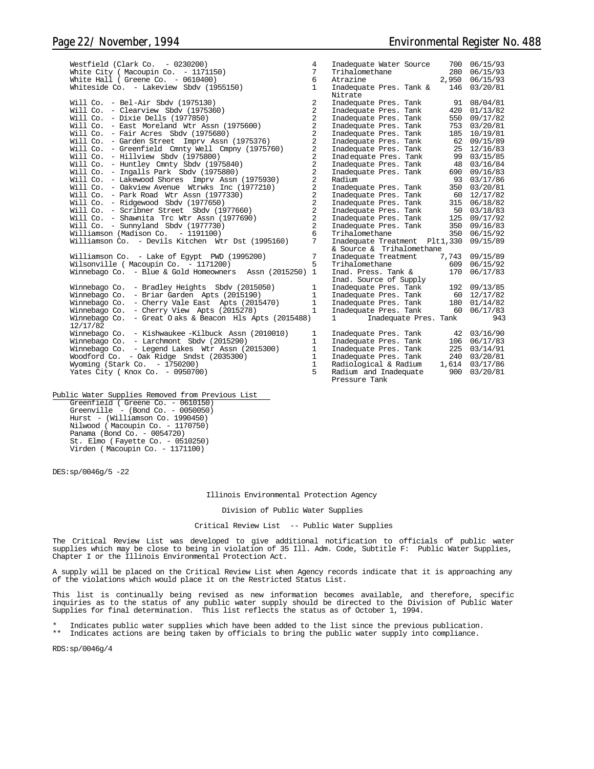| Westfield (Clark Co. $-0230200$ )                         | 4              | Inadequate Water Source                         |       | 700 06/15/93   |
|-----------------------------------------------------------|----------------|-------------------------------------------------|-------|----------------|
| White City ( Macoupin Co. $-1171150$ )                    | 7              | Trihalomethane                                  |       | 280 06/15/93   |
| White Hall ( Greene Co. $-0610400$ )                      | 6              | Atrazine                                        |       | 2,950 06/15/93 |
| Whiteside Co. - Lakeview Sbdv (1955150)                   | $\mathbf{1}$   | Inadequate Pres. Tank &                         | 146   | 03/20/81       |
|                                                           |                | Nitrate                                         |       |                |
| Will Co. - Bel-Air Sbdy $(1975130)$                       | 2              | Inadequate Pres. Tank                           |       | 91 08/04/81    |
| Will Co. - Clearview Sbdy (1975360)                       | $\overline{2}$ | Inadequate Pres. Tank                           |       | 420 01/13/82   |
| Will Co. - Dixie Dells (1977850)                          | $\overline{c}$ | Inadequate Pres. Tank                           |       | 550 09/17/82   |
| Will Co. - East Moreland Wtr Assn (1975600)               | $\overline{c}$ | Inadequate Pres. Tank                           | 753   | 03/20/81       |
| Will Co. - Fair Acres Sbdy $(1975680)$                    | $\overline{2}$ | Inadequate Pres. Tank                           | 185   | 10/19/81       |
| Will Co. - Garden Street Imprv Assn (1975376)             | $\overline{2}$ | Inadequate Pres. Tank                           |       | 62 09/15/89    |
| Will Co. - Greenfield Cmnty Well Cmpny (1975760)          | $\overline{2}$ | Inadequate Pres. Tank                           |       | 25 12/16/83    |
| Will Co. - Hillview Sbdv (1975800)                        | $\overline{2}$ | Inadequate Pres. Tank                           |       | 99 03/15/85    |
| Will Co. - Huntley Cmnty Sbdv (1975840)                   | $\overline{2}$ | Inadequate Pres. Tank                           | 48    | 03/16/84       |
| Will Co. - Ingalls Park Sbdv (1975880)                    | $\overline{a}$ | Inadequate Pres. Tank                           |       | 690 09/16/83   |
| Will Co. - Lakewood Shores Imprv Assn (1975930)           | $\overline{a}$ | Radium                                          |       | 93 03/17/86    |
| Will Co. - Oakview Avenue Wtrwks Inc (1977210)            | $\overline{a}$ | Inadequate Pres. Tank                           |       | 350 03/20/81   |
| Will Co. - Park Road Wtr Assn (1977330)                   | $\overline{a}$ | Inadequate Pres. Tank                           | 60    | 12/17/82       |
| Will Co. - Ridgewood Sbdy (1977650)                       | $\overline{2}$ | Inadequate Pres. Tank                           |       | 315 06/18/82   |
| Will Co. - Scribner Street Sbdv (1977660)                 | $\overline{c}$ | Inadequate Pres. Tank                           |       | 50 03/18/83    |
| Will Co. - Shawnita Trc Wtr Assn (1977690)                | $\overline{c}$ | Inadequate Pres. Tank                           |       | 125 09/17/92   |
| Will $Co. - Sumvland Sbdv (1977730)$                      | $\overline{a}$ | Inadequate Pres. Tank                           |       | 350 09/16/83   |
| Williamson (Madison Co. - 1191100)                        | 6              | Trihalomethane                                  |       | 350 06/15/92   |
| Williamson Co. - Devils Kitchen Wtr Dst (1995160)         | 7              | Inadequate Treatment Plt1,330                   |       | 09/15/89       |
|                                                           |                | & Source & Trihalomethane                       |       |                |
| Williamson Co. - Lake of Egypt PWD (1995200)              | 7              | Inadequate Treatment                            | 7,743 | 09/15/89       |
| Wilsonville ( Macoupin Co. - 1171200)                     | 5              | Trihalomethane                                  | 609   | 06/15/92       |
| Winnebago Co. - Blue & Gold Homeowners Assn $(2015250)$ 1 |                | Inad. Press. Tank &                             | 170   | 06/17/83       |
|                                                           |                | Inad. Source of Supply                          |       |                |
| - Bradley Heights Sbdv (2015050)<br>Winnebago Co.         | $\mathbf{1}$   | Inadequate Pres. Tank                           |       | 192 09/13/85   |
| Winnebago Co.<br>- Briar Garden Apts (2015190)            | $\mathbf{1}$   | Inadequate Pres. Tank                           | 60    | 12/17/82       |
| Winnebago Co.<br>- Cherry Vale East Apts (2015470)        | $\mathbf{1}$   | Inadequate Pres. Tank                           |       | 180 01/14/82   |
| Winnebago Co. - Cherry View Apts (2015278)                | $\mathbf{1}$   | Inadequate Pres. Tank                           |       | 60 06/17/83    |
| - Great Oaks & Beacon Hls Apts (2015488)<br>Winnebago Co. |                | $1 \quad \blacksquare$<br>Inadequate Pres. Tank |       | 943            |
| 12/17/82                                                  |                |                                                 |       |                |
| Winnebago Co. - Kishwaukee -Kilbuck Assn (2010010)        | $\mathbf{1}$   | Inadequate Pres. Tank                           |       | 42 03/16/90    |
| Winnebago Co. - Larchmont Sbdy (2015290)                  | $\mathbf{1}$   | Inadequate Pres. Tank                           |       | 106 06/17/83   |
| Winnebago Co. - Legend Lakes Wtr Assn (2015300)           | $\mathbf{1}$   | Inadequate Pres. Tank                           |       | 225 03/14/91   |
| Woodford Co. - Oak Ridge Sndst (2035300)                  | $\mathbf{1}$   | Inadequate Pres. Tank                           |       | 240 03/20/81   |
| Wyoming (Stark Co. $-1750200$ )                           | $\mathbf{1}$   | Radiological & Radium                           | 1,614 | 03/17/86       |
| Yates City (Knox Co. - 0950700)                           | 5              | Radium and Inadequate                           | 900   | 03/20/81       |
|                                                           |                | Pressure Tank                                   |       |                |

Public Water Supplies Removed from Previous List Greenfield ( Greene Co. - 0610150) Greenville - (Bond Co. - 0050050) Hurst - (Williamson Co. 1990450) Nilwood ( Macoupin Co. - 1170750) Panama (Bond Co. - 0054720) St. Elmo ( Fayette Co. - 0510250) Virden ( Macoupin Co. - 1171100)

DES:sp/0046g/5 -22

Illinois Environmental Protection Agency

#### Division of Public Water Supplies

Critical Review List -- Public Water Supplies

The Critical Review List was developed to give additional notification to officials of public water supplies which may be close to being in violation of 35 Ill. Adm. Code, Subtitle F: Public Water Supplies, Chapter I or the Illinois Environmental Protection Act.

A supply will be placed on the Critical Review List when Agency records indicate that it is approaching any of the violations which would place it on the Restricted Status List.

This list is continually being revised as new information becomes available, and therefore, specific inquiries as to the status of any public water supply should be directed to the Division of Public Water Supplies for final determination. This list reflects the status as of October 1, 1994.

\* Indicates public water supplies which have been added to the list since the previous publication.<br>\*\* Indicates actions are being taken by officials to bring the public uptor supply into compliance Indicates actions are being taken by officials to bring the public water supply into compliance.

RDS:sp/0046g/4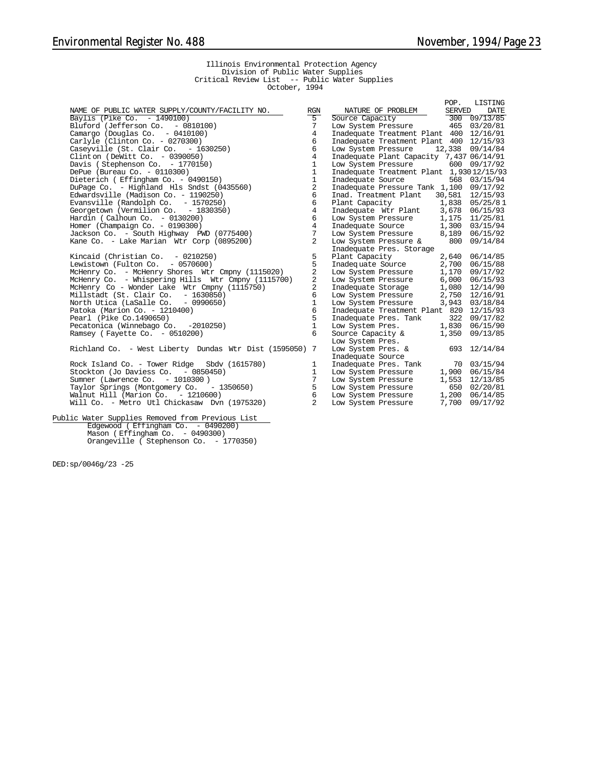POP. LISTING

#### Illinois Environmental Protection Agency Division of Public Water Supplies Critical Review List -- Public Water Supplies October, 1994

Rock Island Co. - Tower Ridge Sbdv (1615780) Stockton (Jo Daviess Co.  $-$  0850450) Sumner (Lawrence Co. - 1010300 )<br>Taylor Springs (Montgomery Co. - 1350650) Taylor Springs (Montgomery Co. - 1350650) 5 Low System Pressure 650 02/20/81 Walnut Hill (Marion Co. - 1210600) 6 Low System Pressure 1,200 06/14/85 Will Co. - Metro Utl Chickasaw Dvn (1975320) 2 Low System Pressure 7,700 09/17/92

Public Water Supplies Removed from Previous List Edgewood ( Effingham Co. - 0490200) Mason ( Effingham Co. - 0490300) Orangeville ( Stephenson Co. - 1770350)

DED:sp/0046g/23 -25

|                                                                                                       |                |                                                                                                                                                                                      |       | LOL' TIMPITIMA  |
|-------------------------------------------------------------------------------------------------------|----------------|--------------------------------------------------------------------------------------------------------------------------------------------------------------------------------------|-------|-----------------|
| NAME OF PUBLIC WATER SUPPLY/COUNTY/FACILITY NO.                                                       | RGN            | $\begin{tabular}{l c c c c} \hline \texttt{NATURE OF PROBLEM} & \texttt{SERVED} & \texttt{DATE} \\ \hline \texttt{Source Capacity} & \texttt{300 09/13/85} \\ \hline \end{tabular}$  |       |                 |
| Baylis (Pike Co. - 1490100)                                                                           | $5^{-}$        |                                                                                                                                                                                      |       |                 |
| Bluford (Jefferson Co.  – 0810100)                                                                    | 7              | Low System Pressure 465 03/20/81                                                                                                                                                     |       |                 |
| Camargo (Douglas Co. $-0410100$ )                                                                     | $\overline{4}$ | Inadequate Treatment Plant 400 12/16/91                                                                                                                                              |       |                 |
| Carlyle (Clinton Co. - 0270300)                                                                       | 6              | Inadequate Treatment Plant 400 12/15/93                                                                                                                                              |       |                 |
| Caseyville (St. Clair Co.  – 1630250)                                                                 | 6              | Low System Pressure                                                                                                                                                                  |       | 12,338 09/14/84 |
| Clinton (DeWitt Co. - 0390050)                                                                        | $\overline{4}$ | Inadequate Plant Capacity 7,437 06/14/91                                                                                                                                             |       |                 |
| Davis (Stephenson Co. - 1770150)                                                                      | $\mathbf{1}$   | Low System Pressure 600 09/17/92                                                                                                                                                     |       |                 |
| DePue (Bureau Co. - 0110300)                                                                          | $\mathbf{1}$   | Inadequate Treatment Plant 1,93012/15/93                                                                                                                                             |       |                 |
| Dieterich ( Effingham Co. - 0490150)                                                                  | $1\,$          | Inadequate Source                                                                                                                                                                    |       | 568 03/15/94    |
| DuPage Co. - Highland Hls Sndst (0435560)                                                             | $\overline{2}$ | Inadequate Pressure Tank 1,100 09/17/92                                                                                                                                              |       |                 |
| Edwardsville (Madison Co. - 1190250)                                                                  | 6              | Inad. Treatment Plant 30,581 12/15/93                                                                                                                                                |       |                 |
| Evansville (Randolph Co.  – 1570250)                                                                  | 6              | Plant Capacity 1,838 05/25/81<br>Inadequate Wtr Plant 3,678 06/15/93<br>Low System Pressure 1,175 11/25/81                                                                           |       |                 |
| Georgetown (Vermilion Co. - 1830350)                                                                  | $\overline{4}$ |                                                                                                                                                                                      |       |                 |
| Hardin ( Calhoun Co. - 0130200)                                                                       | 6              |                                                                                                                                                                                      |       |                 |
| Homer (Champaign Co. - 0190300)                                                                       | $\overline{4}$ | $1,300 \quad 03/15/94$                                                                                                                                                               |       |                 |
| Jackson Co. – South Highway PWD (0775400)                                                             | 7              | Low System Pressure 8,189 06/15/92                                                                                                                                                   |       |                 |
| Kane Co. – Lake Marian Wtr Corp (0895200)                                                             | 2              | Low System Pressure $\&$ 800 09/14/84                                                                                                                                                |       |                 |
|                                                                                                       |                | Inadequate Pres. Storage                                                                                                                                                             |       |                 |
| Kincaid (Christian Co.  – 0210250)                                                                    | 5              | Plant Capacity 2,640 06/14/85                                                                                                                                                        |       |                 |
| Lewistown (Fulton Co. - 0570600)                                                                      | 5              | Inadequate Source 2,700 06/15/88                                                                                                                                                     |       |                 |
| McHenry Co. - McHenry Shores Wtr Cmpny (1115020)                                                      | 2              | Low System Pressure 1,170 09/17/92                                                                                                                                                   |       |                 |
| McHenry Co. - Whispering Hills Wtr Cmpny (1115700)                                                    | $\overline{a}$ | Low System Pressure 6,000 06/15/93                                                                                                                                                   |       |                 |
| McHenry Co - Wonder Lake Wtr Cmpny (1115750)                                                          | $\overline{c}$ |                                                                                                                                                                                      |       |                 |
| Millstadt (St. Clair Co.  – 1630850)                                                                  | 6              |                                                                                                                                                                                      |       |                 |
| North Utica (LaSalle Co. - 0990650)                                                                   | $\mathbf{1}$   | 1,080 12/14/90<br>Low System Pressure 2,750 12/16/91<br>Low System Pressure 3,943 03/18/84                                                                                           |       |                 |
| Patoka (Marion Co. - 1210400)                                                                         | 6              | Inadequate Treatment Plant 820 12/15/93                                                                                                                                              |       |                 |
| Pearl (Pike Co.1490650)                                                                               | 5              |                                                                                                                                                                                      |       |                 |
| Pecatonica (Winnebago Co. -2010250)                                                                   | $\mathbf{1}$   | Inadequate Pres. Tank 322 09/17/82<br>Low System Pres. 1,830 06/15/90                                                                                                                |       |                 |
| Ramsey (Fayette Co. - 0510200)                                                                        | 6              | Source Capacity &                                                                                                                                                                    | 1,350 | 09/13/85        |
|                                                                                                       |                | Low System Pres.                                                                                                                                                                     |       |                 |
| Richland Co.  – West Liberty Dundas Wtr Dist (1595050) 7                                              |                | Low System Pres. &                                                                                                                                                                   |       | 693 12/14/84    |
|                                                                                                       |                | Inadequate Source                                                                                                                                                                    |       |                 |
| Rock Island Co. - Tower Ridge Sbdv (1615780)                                                          | $\mathbf{1}$   |                                                                                                                                                                                      |       |                 |
| Stockton (Jo Daviess Co. - 0850450)                                                                   | 1              | $\begin{tabular}{llll} \texttt{Inadequate Pres.} \texttt{Tank} & \texttt{70} & \texttt{03/15/94} \\ \texttt{Low System Pressure} & \texttt{1,900} & \texttt{06/15/84} \end{tabular}$ |       |                 |
| Sumner (Lawrence Co. - 1010300)                                                                       | 7              | Low System Pressure $1,553$ $12/13/85$                                                                                                                                               |       |                 |
| Taylor Springs (Montgomery Co.  – 1350650)                                                            | 5              |                                                                                                                                                                                      |       |                 |
| Walnut Hill (Marion Co. - 1210600)                                                                    | 6              | $\begin{tabular}{lllllll} \textsc{Low System Pressure} & \hspace*{0.5cm} 650 & 02/20/81 \\ \textsc{Low System Pressure} & \hspace*{0.5cm} 1,200 & 06/14/85 \\ \end{tabular}$         |       |                 |
| $M_{\odot}$ 11 $\Omega$ <sub>0</sub> $M_{\odot}$ the Intellectional state $\Gamma$ $\sim$ $(1075320)$ | $\sim$         | $T_{\alpha}, T_{\alpha}, T_{\alpha}$                                                                                                                                                 |       | 7.700.00117/02  |